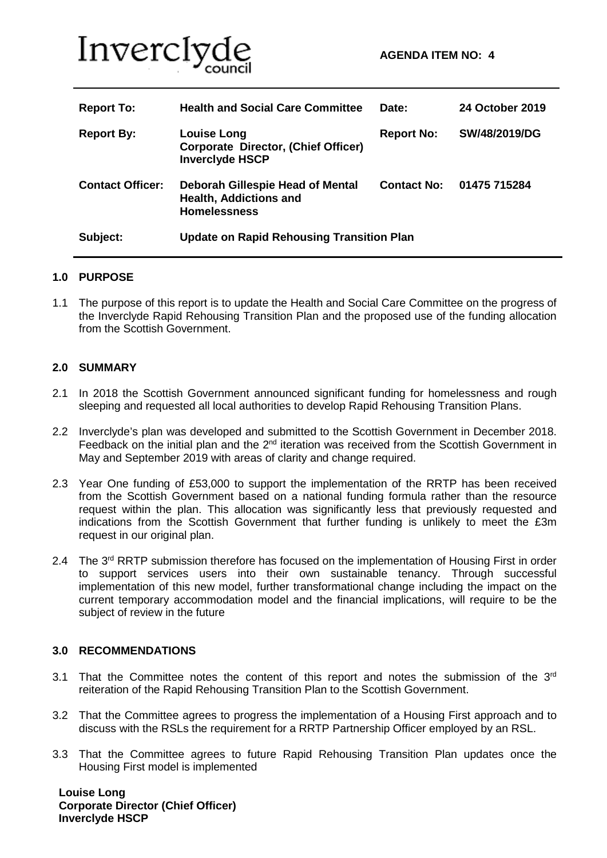

| <b>Report To:</b>       | <b>Health and Social Care Committee</b>                                                         | Date:              | 24 October 2019 |
|-------------------------|-------------------------------------------------------------------------------------------------|--------------------|-----------------|
| <b>Report By:</b>       | <b>Louise Long</b><br><b>Corporate Director, (Chief Officer)</b><br><b>Inverclyde HSCP</b>      | <b>Report No:</b>  | SW/48/2019/DG   |
| <b>Contact Officer:</b> | <b>Deborah Gillespie Head of Mental</b><br><b>Health, Addictions and</b><br><b>Homelessness</b> | <b>Contact No:</b> | 01475 715284    |
| Subject:                | <b>Update on Rapid Rehousing Transition Plan</b>                                                |                    |                 |

#### **1.0 PURPOSE**

1.1 The purpose of this report is to update the Health and Social Care Committee on the progress of the Inverclyde Rapid Rehousing Transition Plan and the proposed use of the funding allocation from the Scottish Government.

### **2.0 SUMMARY**

- 2.1 In 2018 the Scottish Government announced significant funding for homelessness and rough sleeping and requested all local authorities to develop Rapid Rehousing Transition Plans.
- 2.2 Inverclyde's plan was developed and submitted to the Scottish Government in December 2018. Feedback on the initial plan and the  $2^{nd}$  iteration was received from the Scottish Government in May and September 2019 with areas of clarity and change required.
- 2.3 Year One funding of £53,000 to support the implementation of the RRTP has been received from the Scottish Government based on a national funding formula rather than the resource request within the plan. This allocation was significantly less that previously requested and indications from the Scottish Government that further funding is unlikely to meet the £3m request in our original plan.
- 2.4 The 3<sup>rd</sup> RRTP submission therefore has focused on the implementation of Housing First in order to support services users into their own sustainable tenancy. Through successful implementation of this new model, further transformational change including the impact on the current temporary accommodation model and the financial implications, will require to be the subject of review in the future

#### **3.0 RECOMMENDATIONS**

- 3.1 That the Committee notes the content of this report and notes the submission of the  $3<sup>rd</sup>$ reiteration of the Rapid Rehousing Transition Plan to the Scottish Government.
- 3.2 That the Committee agrees to progress the implementation of a Housing First approach and to discuss with the RSLs the requirement for a RRTP Partnership Officer employed by an RSL.
- 3.3 That the Committee agrees to future Rapid Rehousing Transition Plan updates once the Housing First model is implemented

 **Louise Long Corporate Director (Chief Officer) Inverclyde HSCP**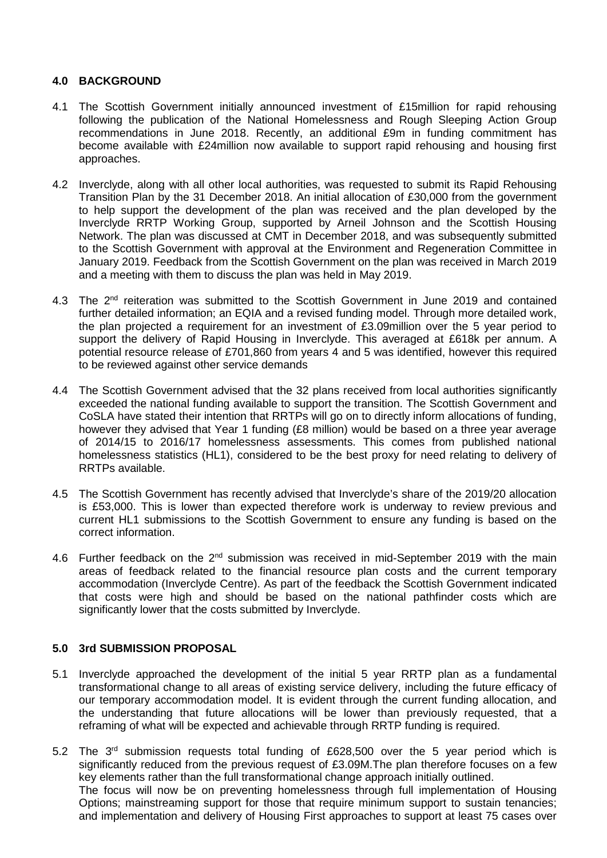## **4.0 BACKGROUND**

- 4.1 The Scottish Government initially announced investment of £15million for rapid rehousing following the publication of the National Homelessness and Rough Sleeping Action Group recommendations in June 2018. Recently, an additional £9m in funding commitment has become available with £24million now available to support rapid rehousing and housing first approaches.
- 4.2 Inverclyde, along with all other local authorities, was requested to submit its Rapid Rehousing Transition Plan by the 31 December 2018. An initial allocation of £30,000 from the government to help support the development of the plan was received and the plan developed by the Inverclyde RRTP Working Group, supported by Arneil Johnson and the Scottish Housing Network. The plan was discussed at CMT in December 2018, and was subsequently submitted to the Scottish Government with approval at the Environment and Regeneration Committee in January 2019. Feedback from the Scottish Government on the plan was received in March 2019 and a meeting with them to discuss the plan was held in May 2019.
- 4.3 The 2<sup>nd</sup> reiteration was submitted to the Scottish Government in June 2019 and contained further detailed information; an EQIA and a revised funding model. Through more detailed work, the plan projected a requirement for an investment of £3.09million over the 5 year period to support the delivery of Rapid Housing in Inverclyde. This averaged at £618k per annum. A potential resource release of £701,860 from years 4 and 5 was identified, however this required to be reviewed against other service demands
- 4.4 The Scottish Government advised that the 32 plans received from local authorities significantly exceeded the national funding available to support the transition. The Scottish Government and CoSLA have stated their intention that RRTPs will go on to directly inform allocations of funding, however they advised that Year 1 funding (£8 million) would be based on a three year average of 2014/15 to 2016/17 homelessness assessments. This comes from published national homelessness statistics (HL1), considered to be the best proxy for need relating to delivery of RRTPs available.
- 4.5 The Scottish Government has recently advised that Inverclyde's share of the 2019/20 allocation is £53,000. This is lower than expected therefore work is underway to review previous and current HL1 submissions to the Scottish Government to ensure any funding is based on the correct information.
- 4.6 Further feedback on the  $2^{nd}$  submission was received in mid-September 2019 with the main areas of feedback related to the financial resource plan costs and the current temporary accommodation (Inverclyde Centre). As part of the feedback the Scottish Government indicated that costs were high and should be based on the national pathfinder costs which are significantly lower that the costs submitted by Inverclyde.

## **5.0 3rd SUBMISSION PROPOSAL**

- 5.1 Inverclyde approached the development of the initial 5 year RRTP plan as a fundamental transformational change to all areas of existing service delivery, including the future efficacy of our temporary accommodation model. It is evident through the current funding allocation, and the understanding that future allocations will be lower than previously requested, that a reframing of what will be expected and achievable through RRTP funding is required.
- 5.2 The  $3<sup>rd</sup>$  submission requests total funding of £628,500 over the 5 year period which is significantly reduced from the previous request of £3.09M.The plan therefore focuses on a few key elements rather than the full transformational change approach initially outlined. The focus will now be on preventing homelessness through full implementation of Housing Options; mainstreaming support for those that require minimum support to sustain tenancies; and implementation and delivery of Housing First approaches to support at least 75 cases over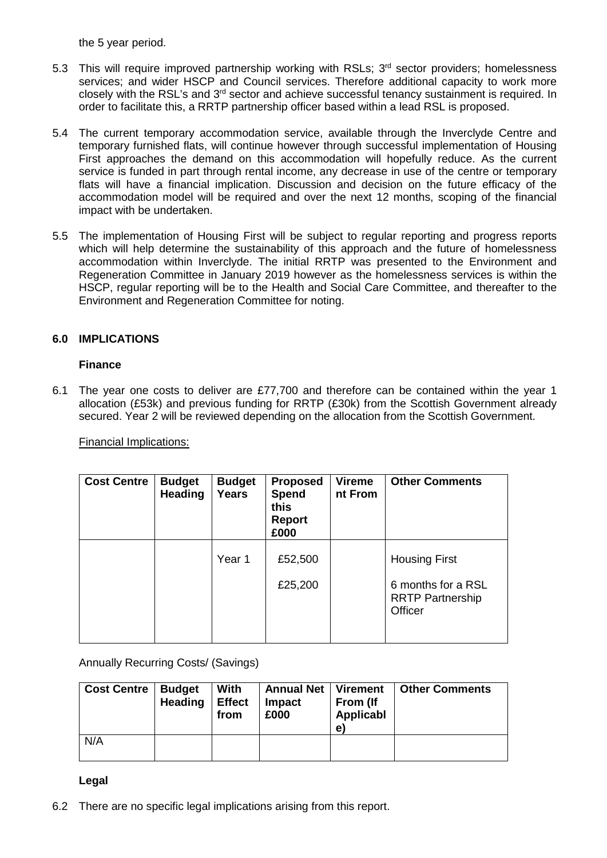the 5 year period.

- 5.3 This will require improved partnership working with RSLs; 3<sup>rd</sup> sector providers; homelessness services; and wider HSCP and Council services. Therefore additional capacity to work more closely with the RSL's and 3<sup>rd</sup> sector and achieve successful tenancy sustainment is required. In order to facilitate this, a RRTP partnership officer based within a lead RSL is proposed.
- 5.4 The current temporary accommodation service, available through the Inverclyde Centre and temporary furnished flats, will continue however through successful implementation of Housing First approaches the demand on this accommodation will hopefully reduce. As the current service is funded in part through rental income, any decrease in use of the centre or temporary flats will have a financial implication. Discussion and decision on the future efficacy of the accommodation model will be required and over the next 12 months, scoping of the financial impact with be undertaken.
- 5.5 The implementation of Housing First will be subject to regular reporting and progress reports which will help determine the sustainability of this approach and the future of homelessness accommodation within Inverclyde. The initial RRTP was presented to the Environment and Regeneration Committee in January 2019 however as the homelessness services is within the HSCP, regular reporting will be to the Health and Social Care Committee, and thereafter to the Environment and Regeneration Committee for noting.

## **6.0 IMPLICATIONS**

#### **Finance**

6.1 The year one costs to deliver are £77,700 and therefore can be contained within the year 1 allocation (£53k) and previous funding for RRTP (£30k) from the Scottish Government already secured. Year 2 will be reviewed depending on the allocation from the Scottish Government.

Financial Implications:

| <b>Cost Centre</b> | <b>Budget</b><br><b>Heading</b> | <b>Budget</b><br><b>Years</b> | <b>Proposed</b><br><b>Spend</b><br>this<br><b>Report</b><br>£000 | <b>Vireme</b><br>nt From | <b>Other Comments</b>                                    |
|--------------------|---------------------------------|-------------------------------|------------------------------------------------------------------|--------------------------|----------------------------------------------------------|
|                    |                                 | Year 1                        | £52,500                                                          |                          | <b>Housing First</b>                                     |
|                    |                                 |                               | £25,200                                                          |                          | 6 months for a RSL<br><b>RRTP Partnership</b><br>Officer |

Annually Recurring Costs/ (Savings)

| <b>Cost Centre</b> | <b>Budget</b><br><b>Heading</b> | With<br><b>Effect</b><br>from | <b>Annual Net</b><br><b>Impact</b><br>£000 | Virement<br>From (If<br>Applicabl<br>e | <b>Other Comments</b> |
|--------------------|---------------------------------|-------------------------------|--------------------------------------------|----------------------------------------|-----------------------|
| N/A                |                                 |                               |                                            |                                        |                       |

## **Legal**

6.2 There are no specific legal implications arising from this report.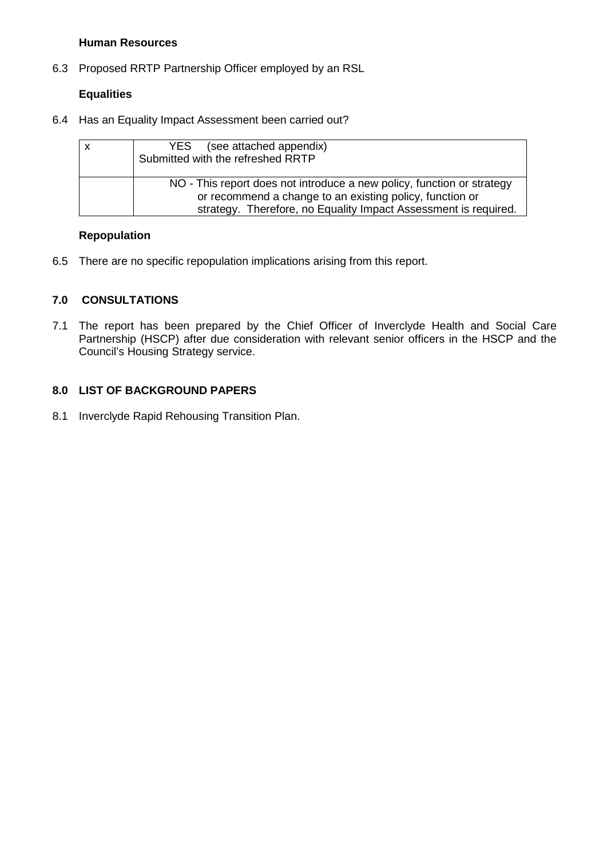## **Human Resources**

6.3 Proposed RRTP Partnership Officer employed by an RSL

## **Equalities**

6.4 Has an Equality Impact Assessment been carried out?

| (see attached appendix)<br>YES<br>Submitted with the refreshed RRTP                                                                                                                                   |
|-------------------------------------------------------------------------------------------------------------------------------------------------------------------------------------------------------|
| NO - This report does not introduce a new policy, function or strategy<br>or recommend a change to an existing policy, function or<br>strategy. Therefore, no Equality Impact Assessment is required. |

### **Repopulation**

6.5 There are no specific repopulation implications arising from this report.

## **7.0 CONSULTATIONS**

7.1 The report has been prepared by the Chief Officer of Inverclyde Health and Social Care Partnership (HSCP) after due consideration with relevant senior officers in the HSCP and the Council's Housing Strategy service.

## **8.0 LIST OF BACKGROUND PAPERS**

8.1 Inverclyde Rapid Rehousing Transition Plan.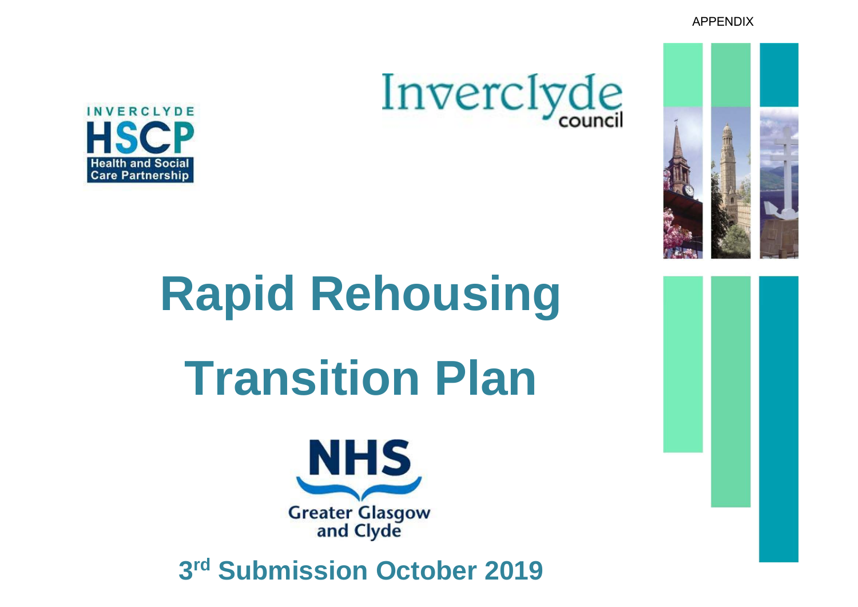APPENDIX





# **Rapid Rehousing Transition Plan**



**3rd Submission October 2019**

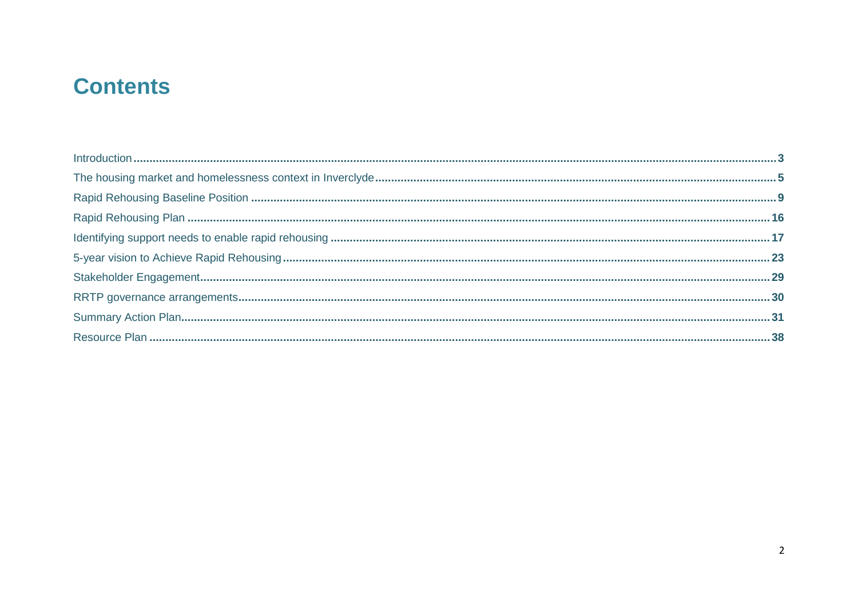## **Contents**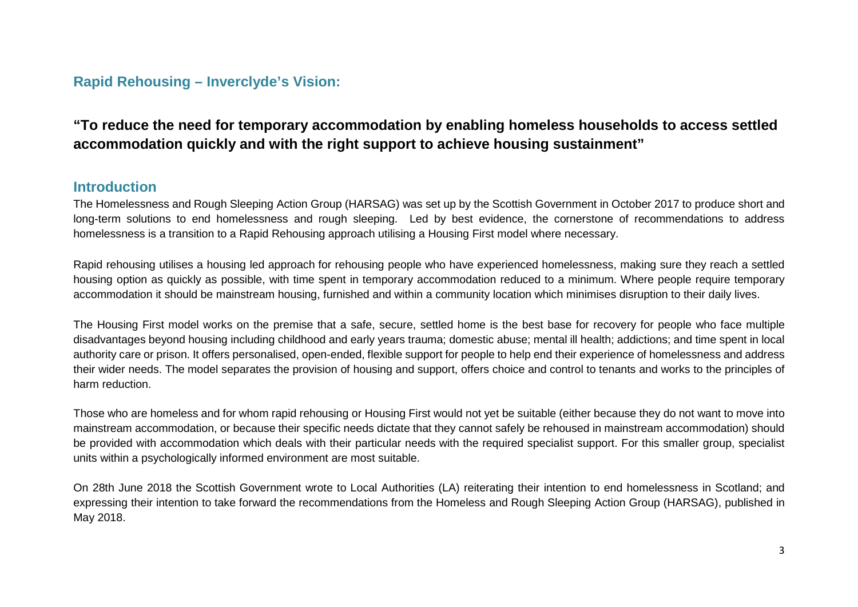## <span id="page-6-0"></span>**Rapid Rehousing – Inverclyde's Vision:**

## **"To reduce the need for temporary accommodation by enabling homeless households to access settled accommodation quickly and with the right support to achieve housing sustainment"**

## **Introduction**

The Homelessness and Rough Sleeping Action Group (HARSAG) was set up by the Scottish Government in October 2017 to produce short and long-term solutions to end homelessness and rough sleeping. Led by best evidence, the cornerstone of recommendations to address homelessness is a transition to a Rapid Rehousing approach utilising a Housing First model where necessary.

Rapid rehousing utilises a housing led approach for rehousing people who have experienced homelessness, making sure they reach a settled housing option as quickly as possible, with time spent in temporary accommodation reduced to a minimum. Where people require temporary accommodation it should be mainstream housing, furnished and within a community location which minimises disruption to their daily lives.

The Housing First model works on the premise that a safe, secure, settled home is the best base for recovery for people who face multiple disadvantages beyond housing including childhood and early years trauma; domestic abuse; mental ill health; addictions; and time spent in local authority care or prison. It offers personalised, open-ended, flexible support for people to help end their experience of homelessness and address their wider needs. The model separates the provision of housing and support, offers choice and control to tenants and works to the principles of harm reduction.

Those who are homeless and for whom rapid rehousing or Housing First would not yet be suitable (either because they do not want to move into mainstream accommodation, or because their specific needs dictate that they cannot safely be rehoused in mainstream accommodation) should be provided with accommodation which deals with their particular needs with the required specialist support. For this smaller group, specialist units within a psychologically informed environment are most suitable.

On 28th June 2018 the Scottish Government wrote to Local Authorities (LA) reiterating their intention to end homelessness in Scotland; and expressing their intention to take forward the recommendations from the Homeless and Rough Sleeping Action Group (HARSAG), published in May 2018.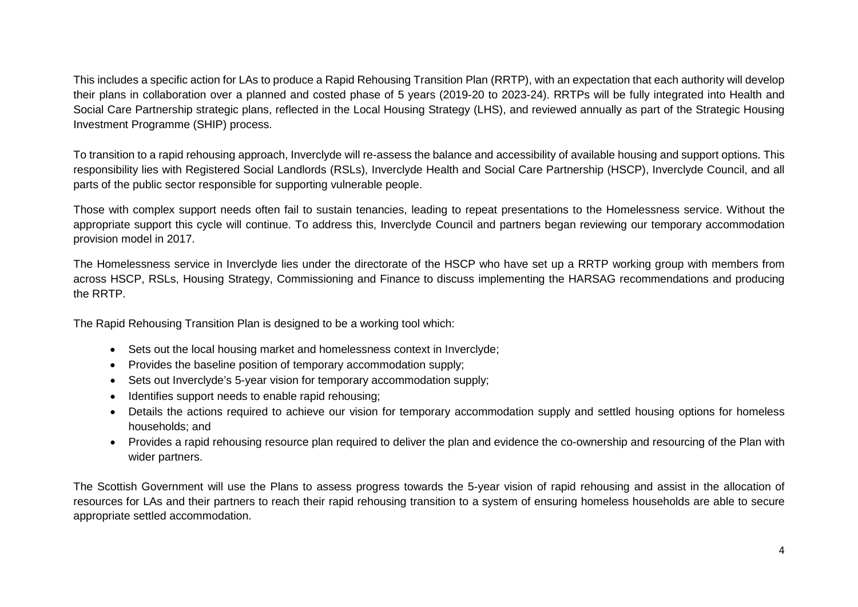This includes a specific action for LAs to produce a Rapid Rehousing Transition Plan (RRTP), with an expectation that each authority will develop their plans in collaboration over a planned and costed phase of 5 years (2019-20 to 2023-24). RRTPs will be fully integrated into Health and Social Care Partnership strategic plans, reflected in the Local Housing Strategy (LHS), and reviewed annually as part of the Strategic Housing Investment Programme (SHIP) process.

To transition to a rapid rehousing approach, Inverclyde will re-assess the balance and accessibility of available housing and support options. This responsibility lies with Registered Social Landlords (RSLs), Inverclyde Health and Social Care Partnership (HSCP), Inverclyde Council, and all parts of the public sector responsible for supporting vulnerable people.

Those with complex support needs often fail to sustain tenancies, leading to repeat presentations to the Homelessness service. Without the appropriate support this cycle will continue. To address this, Inverclyde Council and partners began reviewing our temporary accommodation provision model in 2017.

The Homelessness service in Inverclyde lies under the directorate of the HSCP who have set up a RRTP working group with members from across HSCP, RSLs, Housing Strategy, Commissioning and Finance to discuss implementing the HARSAG recommendations and producing the RRTP.

The Rapid Rehousing Transition Plan is designed to be a working tool which:

- Sets out the local housing market and homelessness context in Inverclyde;
- Provides the baseline position of temporary accommodation supply;
- Sets out Inverclyde's 5-year vision for temporary accommodation supply;
- Identifies support needs to enable rapid rehousing;
- Details the actions required to achieve our vision for temporary accommodation supply and settled housing options for homeless households; and
- Provides a rapid rehousing resource plan required to deliver the plan and evidence the co-ownership and resourcing of the Plan with wider partners.

The Scottish Government will use the Plans to assess progress towards the 5-year vision of rapid rehousing and assist in the allocation of resources for LAs and their partners to reach their rapid rehousing transition to a system of ensuring homeless households are able to secure appropriate settled accommodation.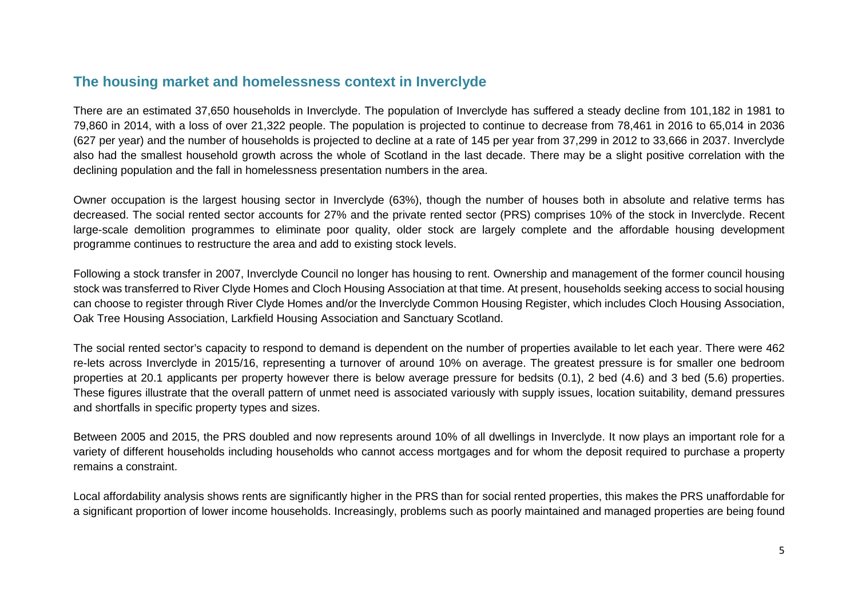## <span id="page-8-0"></span>**The housing market and homelessness context in Inverclyde**

There are an estimated 37,650 households in Inverclyde. The population of Inverclyde has suffered a steady decline from 101,182 in 1981 to 79,860 in 2014, with a loss of over 21,322 people. The population is projected to continue to decrease from 78,461 in 2016 to 65,014 in 2036 (627 per year) and the number of households is projected to decline at a rate of 145 per year from 37,299 in 2012 to 33,666 in 2037. Inverclyde also had the smallest household growth across the whole of Scotland in the last decade. There may be a slight positive correlation with the declining population and the fall in homelessness presentation numbers in the area.

Owner occupation is the largest housing sector in Inverclyde (63%), though the number of houses both in absolute and relative terms has decreased. The social rented sector accounts for 27% and the private rented sector (PRS) comprises 10% of the stock in Inverclyde. Recent large-scale demolition programmes to eliminate poor quality, older stock are largely complete and the affordable housing development programme continues to restructure the area and add to existing stock levels.

Following a stock transfer in 2007, Inverclyde Council no longer has housing to rent. Ownership and management of the former council housing stock was transferred to River Clyde Homes and Cloch Housing Association at that time. At present, households seeking access to social housing can choose to register through River Clyde Homes and/or the Inverclyde Common Housing Register, which includes Cloch Housing Association, Oak Tree Housing Association, Larkfield Housing Association and Sanctuary Scotland.

The social rented sector's capacity to respond to demand is dependent on the number of properties available to let each year. There were 462 re-lets across Inverclyde in 2015/16, representing a turnover of around 10% on average. The greatest pressure is for smaller one bedroom properties at 20.1 applicants per property however there is below average pressure for bedsits (0.1), 2 bed (4.6) and 3 bed (5.6) properties. These figures illustrate that the overall pattern of unmet need is associated variously with supply issues, location suitability, demand pressures and shortfalls in specific property types and sizes.

Between 2005 and 2015, the PRS doubled and now represents around 10% of all dwellings in Inverclyde. It now plays an important role for a variety of different households including households who cannot access mortgages and for whom the deposit required to purchase a property remains a constraint.

Local affordability analysis shows rents are significantly higher in the PRS than for social rented properties, this makes the PRS unaffordable for a significant proportion of lower income households. Increasingly, problems such as poorly maintained and managed properties are being found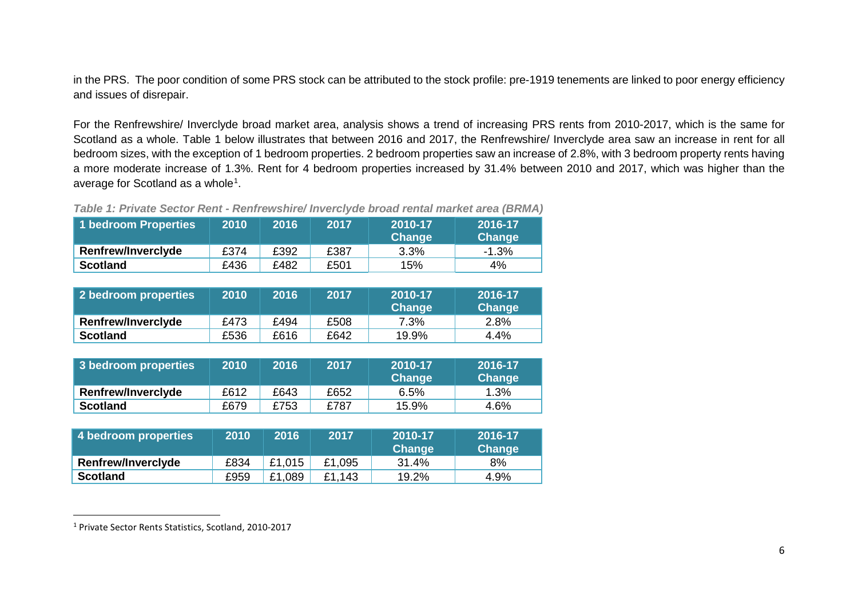<span id="page-9-0"></span>in the PRS. The poor condition of some PRS stock can be attributed to the stock profile: pre-1919 tenements are linked to poor energy efficiency and issues of disrepair.

For the Renfrewshire/ Inverclyde broad market area, analysis shows a trend of increasing PRS rents from 2010-2017, which is the same for Scotland as a whole. Table 1 below illustrates that between 2016 and 2017, the Renfrewshire/ Inverclyde area saw an increase in rent for all bedroom sizes, with the exception of 1 bedroom properties. 2 bedroom properties saw an increase of 2.8%, with 3 bedroom property rents having a more moderate increase of 1.3%. Rent for 4 bedroom properties increased by 31.4% between 2010 and 2017, which was higher than the average for Scotland as a whole $^{\text{\tiny{\text{1}}}}$  $^{\text{\tiny{\text{1}}}}$  $^{\text{\tiny{\text{1}}}}$ .

*Table 1: Private Sector Rent - Renfrewshire/ Inverclyde broad rental market area (BRMA)*

| 1 bedroom Properties      | 2010 | 2016 | 2017 | 2010-17<br>Change | 2016-17<br>Change |
|---------------------------|------|------|------|-------------------|-------------------|
| <b>Renfrew/Inverclyde</b> | £374 | £392 | £387 | $3.3\%$           | $-1.3%$           |
| <b>Scotland</b>           | £436 | £482 | £501 | 15%               | 4%                |

| 2 bedroom properties      | 2010 | 2016 | 2017 | 2010-17<br>Change | 2016-17<br><b>Change</b> |
|---------------------------|------|------|------|-------------------|--------------------------|
| <b>Renfrew/Inverclyde</b> | £473 | £494 | £508 | 7.3%              | 2.8%                     |
| <b>Scotland</b>           | £536 | £616 | £642 | 19.9%             | $4.4\%$                  |

| 3 bedroom properties      | 2010 | 2016 | 2017 | 2010-17<br>Change | 2016-17<br>Change |
|---------------------------|------|------|------|-------------------|-------------------|
| <b>Renfrew/Inverclyde</b> | £612 | £643 | £652 | 6.5%              | $1.3\%$           |
| <b>Scotland</b>           | £679 | £753 | £787 | 15.9%             | 4.6%              |

| 4 bedroom properties      | 2010 | 2016   | 2017   | 2010-17<br><b>Change</b> | 2016-17<br>Change |
|---------------------------|------|--------|--------|--------------------------|-------------------|
| <b>Renfrew/Inverclyde</b> | £834 | £1,015 | £1,095 | 31.4%                    | 8%                |
| <b>Scotland</b>           | £959 | £1,089 | £1,143 | 19.2%                    | 4.9%              |

 <sup>1</sup> Private Sector Rents Statistics, Scotland, 2010-2017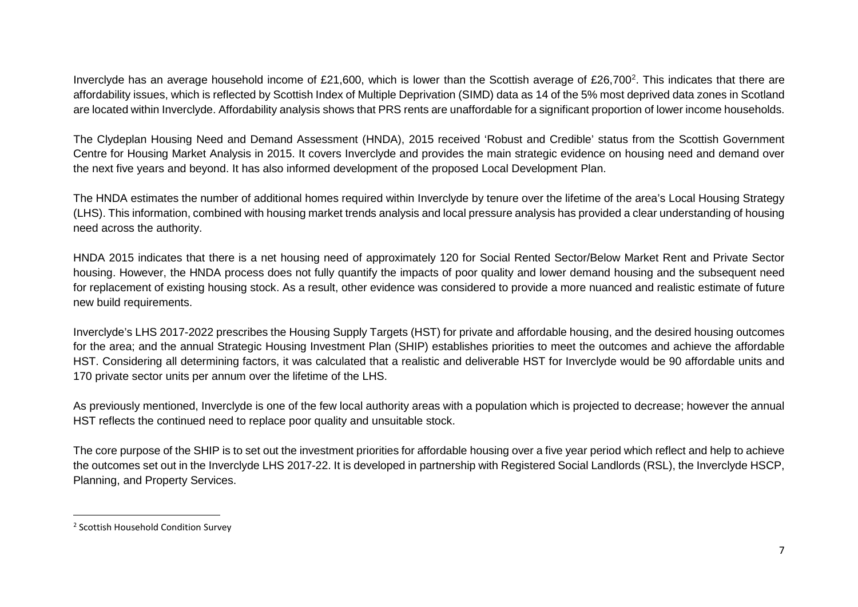<span id="page-10-0"></span>Inverclyde has an average household income of £[2](#page-10-0)1,600, which is lower than the Scottish average of £26,700<sup>2</sup>. This indicates that there are affordability issues, which is reflected by Scottish Index of Multiple Deprivation (SIMD) data as 14 of the 5% most deprived data zones in Scotland are located within Inverclyde. Affordability analysis shows that PRS rents are unaffordable for a significant proportion of lower income households.

The Clydeplan Housing Need and Demand Assessment (HNDA), 2015 received 'Robust and Credible' status from the Scottish Government Centre for Housing Market Analysis in 2015. It covers Inverclyde and provides the main strategic evidence on housing need and demand over the next five years and beyond. It has also informed development of the proposed Local Development Plan.

The HNDA estimates the number of additional homes required within Inverclyde by tenure over the lifetime of the area's Local Housing Strategy (LHS). This information, combined with housing market trends analysis and local pressure analysis has provided a clear understanding of housing need across the authority.

HNDA 2015 indicates that there is a net housing need of approximately 120 for Social Rented Sector/Below Market Rent and Private Sector housing. However, the HNDA process does not fully quantify the impacts of poor quality and lower demand housing and the subsequent need for replacement of existing housing stock. As a result, other evidence was considered to provide a more nuanced and realistic estimate of future new build requirements.

Inverclyde's LHS 2017-2022 prescribes the Housing Supply Targets (HST) for private and affordable housing, and the desired housing outcomes for the area; and the annual Strategic Housing Investment Plan (SHIP) establishes priorities to meet the outcomes and achieve the affordable HST. Considering all determining factors, it was calculated that a realistic and deliverable HST for Inverclyde would be 90 affordable units and 170 private sector units per annum over the lifetime of the LHS.

As previously mentioned, Inverclyde is one of the few local authority areas with a population which is projected to decrease; however the annual HST reflects the continued need to replace poor quality and unsuitable stock.

The core purpose of the SHIP is to set out the investment priorities for affordable housing over a five year period which reflect and help to achieve the outcomes set out in the Inverclyde LHS 2017-22. It is developed in partnership with Registered Social Landlords (RSL), the Inverclyde HSCP, Planning, and Property Services.

 <sup>2</sup> Scottish Household Condition Survey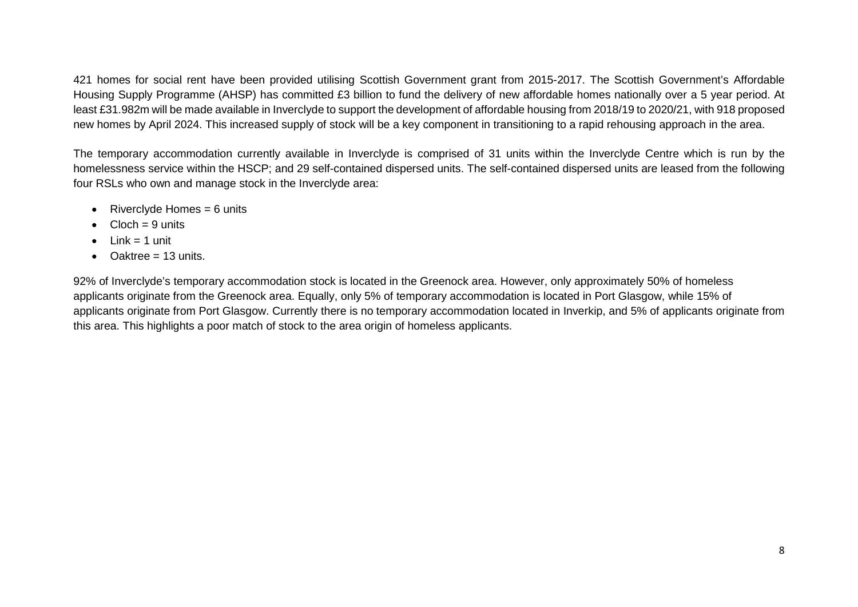421 homes for social rent have been provided utilising Scottish Government grant from 2015-2017. The Scottish Government's Affordable Housing Supply Programme (AHSP) has committed £3 billion to fund the delivery of new affordable homes nationally over a 5 year period. At least £31.982m will be made available in Inverclyde to support the development of affordable housing from 2018/19 to 2020/21, with 918 proposed new homes by April 2024. This increased supply of stock will be a key component in transitioning to a rapid rehousing approach in the area.

The temporary accommodation currently available in Inverclyde is comprised of 31 units within the Inverclyde Centre which is run by the homelessness service within the HSCP; and 29 self-contained dispersed units. The self-contained dispersed units are leased from the following four RSLs who own and manage stock in the Inverclyde area:

- Riverclyde Homes  $= 6$  units
- $Cloch = 9$  units
- $\bullet$  Link = 1 unit
- Oaktree  $= 13$  units.

92% of Inverclyde's temporary accommodation stock is located in the Greenock area. However, only approximately 50% of homeless applicants originate from the Greenock area. Equally, only 5% of temporary accommodation is located in Port Glasgow, while 15% of applicants originate from Port Glasgow. Currently there is no temporary accommodation located in Inverkip, and 5% of applicants originate from this area. This highlights a poor match of stock to the area origin of homeless applicants.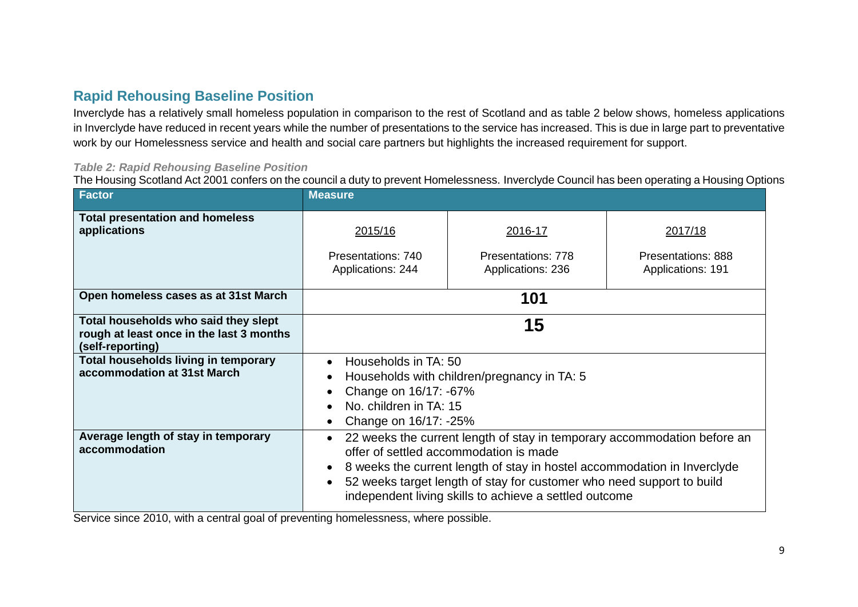## <span id="page-12-0"></span>**Rapid Rehousing Baseline Position**

Inverclyde has a relatively small homeless population in comparison to the rest of Scotland and as table 2 below shows, homeless applications in Inverclyde have reduced in recent years while the number of presentations to the service has increased. This is due in large part to preventative work by our Homelessness service and health and social care partners but highlights the increased requirement for support.

#### *Table 2: Rapid Rehousing Baseline Position*

The Housing Scotland Act 2001 confers on the council a duty to prevent Homelessness. Inverclyde Council has been operating a Housing Options

| <b>Factor</b>                                                                                        | <b>Measure</b>                                                                                                                                                                                                                                                                                                                    |                                                    |                                                           |  |  |  |
|------------------------------------------------------------------------------------------------------|-----------------------------------------------------------------------------------------------------------------------------------------------------------------------------------------------------------------------------------------------------------------------------------------------------------------------------------|----------------------------------------------------|-----------------------------------------------------------|--|--|--|
| <b>Total presentation and homeless</b><br>applications                                               | 2015/16<br>Presentations: 740<br>Applications: 244                                                                                                                                                                                                                                                                                | 2016-17<br>Presentations: 778<br>Applications: 236 | 2017/18<br><b>Presentations: 888</b><br>Applications: 191 |  |  |  |
| Open homeless cases as at 31st March                                                                 | 101                                                                                                                                                                                                                                                                                                                               |                                                    |                                                           |  |  |  |
| Total households who said they slept<br>rough at least once in the last 3 months<br>(self-reporting) | 15                                                                                                                                                                                                                                                                                                                                |                                                    |                                                           |  |  |  |
| Total households living in temporary<br>accommodation at 31st March                                  | Households in TA: 50<br>Households with children/pregnancy in TA: 5<br>Change on 16/17: -67%<br>No. children in TA: 15<br>Change on 16/17: -25%                                                                                                                                                                                   |                                                    |                                                           |  |  |  |
| Average length of stay in temporary<br>accommodation                                                 | 22 weeks the current length of stay in temporary accommodation before an<br>offer of settled accommodation is made<br>8 weeks the current length of stay in hostel accommodation in Inverclyde<br>52 weeks target length of stay for customer who need support to build<br>independent living skills to achieve a settled outcome |                                                    |                                                           |  |  |  |

Service since 2010, with a central goal of preventing homelessness, where possible.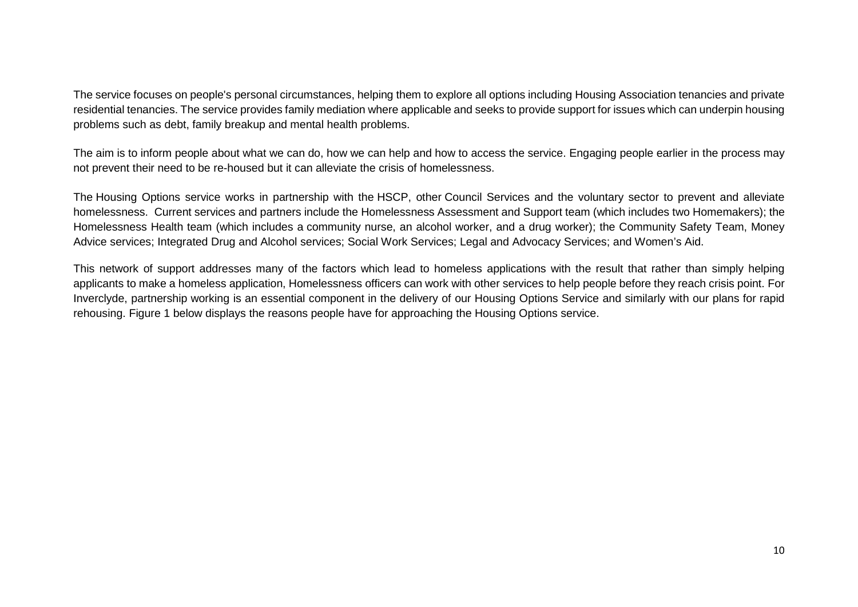The service focuses on people's personal circumstances, helping them to explore all options including Housing Association tenancies and private residential tenancies. The service provides family mediation where applicable and seeks to provide support for issues which can underpin housing problems such as debt, family breakup and mental health problems.

The aim is to inform people about what we can do, how we can help and how to access the service. Engaging people earlier in the process may not prevent their need to be re-housed but it can alleviate the crisis of homelessness.

The Housing Options service works in partnership with the HSCP, other Council Services and the voluntary sector to prevent and alleviate homelessness. Current services and partners include the Homelessness Assessment and Support team (which includes two Homemakers); the Homelessness Health team (which includes a community nurse, an alcohol worker, and a drug worker); the Community Safety Team, Money Advice services; Integrated Drug and Alcohol services; Social Work Services; Legal and Advocacy Services; and Women's Aid.

This network of support addresses many of the factors which lead to homeless applications with the result that rather than simply helping applicants to make a homeless application, Homelessness officers can work with other services to help people before they reach crisis point. For Inverclyde, partnership working is an essential component in the delivery of our Housing Options Service and similarly with our plans for rapid rehousing. Figure 1 below displays the reasons people have for approaching the Housing Options service.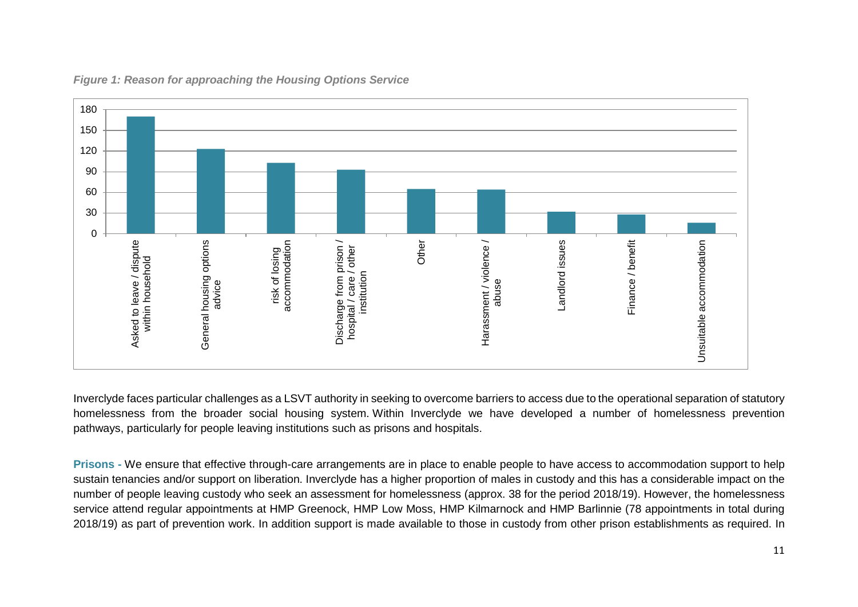

## *Figure 1: Reason for approaching the Housing Options Service*

Inverclyde faces particular challenges as a LSVT authority in seeking to overcome barriers to access due to the operational separation of statutory homelessness from the broader social housing system. Within Inverclyde we have developed a number of homelessness prevention pathways, particularly for people leaving institutions such as prisons and hospitals.

**Prisons -** We ensure that effective through-care arrangements are in place to enable people to have access to accommodation support to help sustain tenancies and/or support on liberation. Inverclyde has a higher proportion of males in custody and this has a considerable impact on the number of people leaving custody who seek an assessment for homelessness (approx. 38 for the period 2018/19). However, the homelessness service attend regular appointments at HMP Greenock, HMP Low Moss, HMP Kilmarnock and HMP Barlinnie (78 appointments in total during 2018/19) as part of prevention work. In addition support is made available to those in custody from other prison establishments as required. In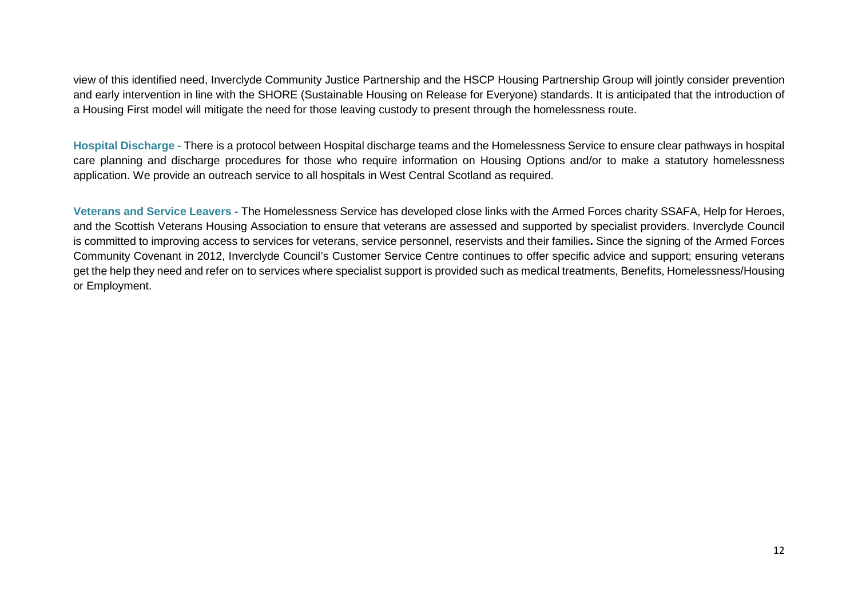view of this identified need, Inverclyde Community Justice Partnership and the HSCP Housing Partnership Group will jointly consider prevention and early intervention in line with the SHORE (Sustainable Housing on Release for Everyone) standards. It is anticipated that the introduction of a Housing First model will mitigate the need for those leaving custody to present through the homelessness route.

**Hospital Discharge -** There is a protocol between Hospital discharge teams and the Homelessness Service to ensure clear pathways in hospital care planning and discharge procedures for those who require information on Housing Options and/or to make a statutory homelessness application. We provide an outreach service to all hospitals in West Central Scotland as required.

**Veterans and Service Leavers -** The Homelessness Service has developed close links with the Armed Forces charity SSAFA, Help for Heroes, and the Scottish Veterans Housing Association to ensure that veterans are assessed and supported by specialist providers. Inverclyde Council is committed to improving access to services for veterans, service personnel, reservists and their families**.** Since the signing of the Armed Forces Community Covenant in 2012, Inverclyde Council's Customer Service Centre continues to offer specific advice and support; ensuring veterans get the help they need and refer on to services where specialist support is provided such as medical treatments, Benefits, Homelessness/Housing or Employment.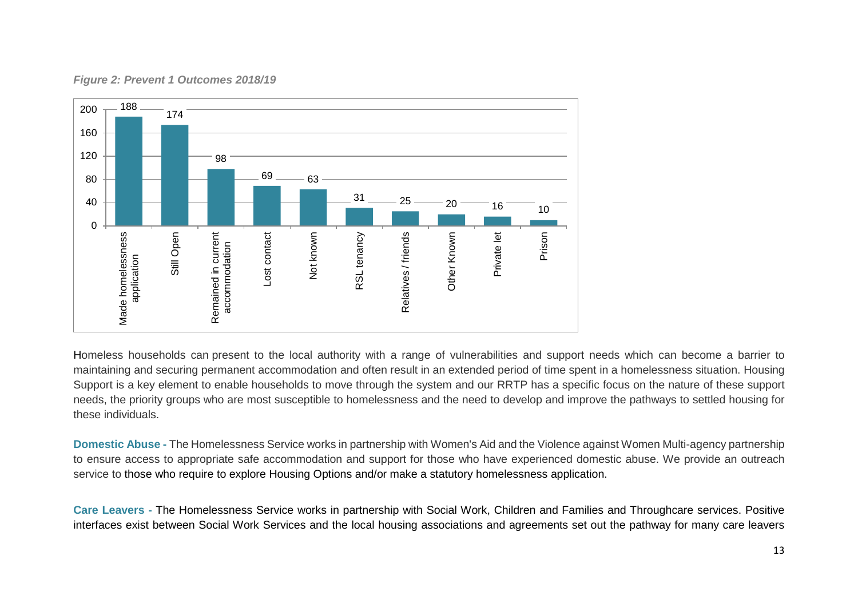

#### *Figure 2: Prevent 1 Outcomes 2018/19*

Homeless households can present to the local authority with a range of vulnerabilities and support needs which can become a barrier to maintaining and securing permanent accommodation and often result in an extended period of time spent in a homelessness situation. Housing Support is a key element to enable households to move through the system and our RRTP has a specific focus on the nature of these support needs, the priority groups who are most susceptible to homelessness and the need to develop and improve the pathways to settled housing for these individuals.

**Domestic Abuse -** The Homelessness Service works in partnership with Women's Aid and the Violence against Women Multi-agency partnership to ensure access to appropriate safe accommodation and support for those who have experienced domestic abuse. We provide an outreach service to those who require to explore Housing Options and/or make a statutory homelessness application.

**Care Leavers -** The Homelessness Service works in partnership with Social Work, Children and Families and Throughcare services. Positive interfaces exist between Social Work Services and the local housing associations and agreements set out the pathway for many care leavers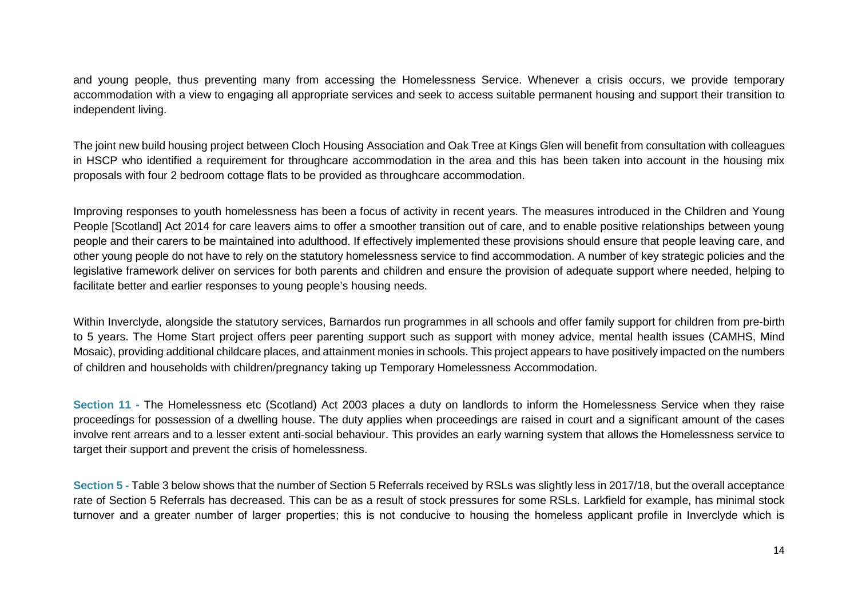and young people, thus preventing many from accessing the Homelessness Service. Whenever a crisis occurs, we provide temporary accommodation with a view to engaging all appropriate services and seek to access suitable permanent housing and support their transition to independent living.

The joint new build housing project between Cloch Housing Association and Oak Tree at Kings Glen will benefit from consultation with colleagues in HSCP who identified a requirement for throughcare accommodation in the area and this has been taken into account in the housing mix proposals with four 2 bedroom cottage flats to be provided as throughcare accommodation.

Improving responses to youth homelessness has been a focus of activity in recent years. The measures introduced in the Children and Young People [Scotland] Act 2014 for care leavers aims to offer a smoother transition out of care, and to enable positive relationships between young people and their carers to be maintained into adulthood. If effectively implemented these provisions should ensure that people leaving care, and other young people do not have to rely on the statutory homelessness service to find accommodation. A number of key strategic policies and the legislative framework deliver on services for both parents and children and ensure the provision of adequate support where needed, helping to facilitate better and earlier responses to young people's housing needs.

Within Inverclyde, alongside the statutory services, Barnardos run programmes in all schools and offer family support for children from pre-birth to 5 years. The Home Start project offers peer parenting support such as support with money advice, mental health issues (CAMHS, Mind Mosaic), providing additional childcare places, and attainment monies in schools. This project appears to have positively impacted on the numbers of children and households with children/pregnancy taking up Temporary Homelessness Accommodation.

**Section 11 -** The Homelessness etc (Scotland) Act 2003 places a duty on landlords to inform the Homelessness Service when they raise proceedings for possession of a dwelling house. The duty applies when proceedings are raised in court and a significant amount of the cases involve rent arrears and to a lesser extent anti-social behaviour. This provides an early warning system that allows the Homelessness service to target their support and prevent the crisis of homelessness.

**Section 5** - Table 3 below shows that the number of Section 5 Referrals received by RSLs was slightly less in 2017/18, but the overall acceptance rate of Section 5 Referrals has decreased. This can be as a result of stock pressures for some RSLs. Larkfield for example, has minimal stock turnover and a greater number of larger properties; this is not conducive to housing the homeless applicant profile in Inverclyde which is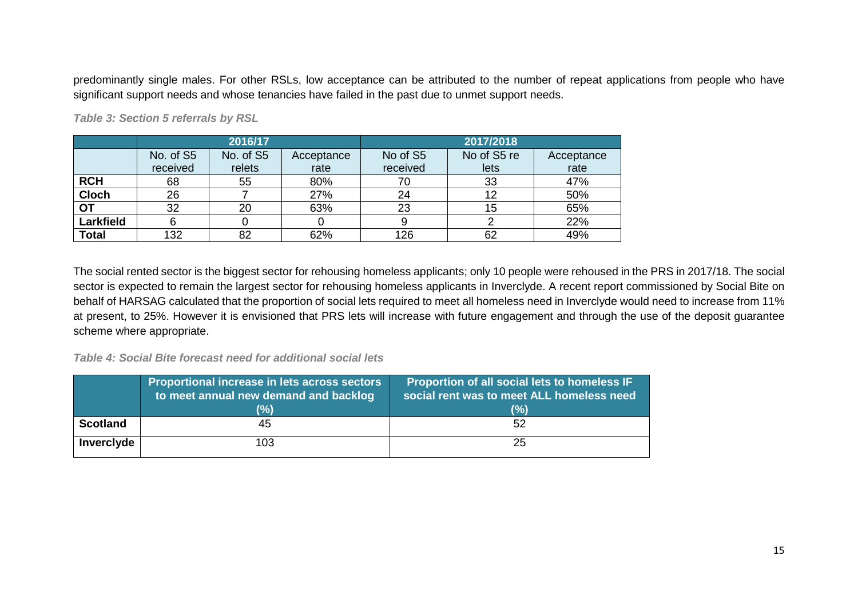predominantly single males. For other RSLs, low acceptance can be attributed to the number of repeat applications from people who have significant support needs and whose tenancies have failed in the past due to unmet support needs.

|              |           | 2016/17   |            | 2017/2018 |             |            |  |
|--------------|-----------|-----------|------------|-----------|-------------|------------|--|
|              | No. of S5 | No. of S5 | Acceptance | No of S5  | No of S5 re | Acceptance |  |
|              | received  | relets    | rate       | received  | lets        | rate       |  |
| <b>RCH</b>   | 68        | 55        | 80%        | 70        | 33          | 47%        |  |
| <b>Cloch</b> | 26        |           | 27%        | 24        | 12          | 50%        |  |
| ОТ           | 32        | 20        | 63%        | 23        | 15          | 65%        |  |
| Larkfield    | 6         |           |            |           |             | 22%        |  |
| <b>Total</b> | 132       | 82        | 62%        | 126       | 62          | 49%        |  |

*Table 3: Section 5 referrals by RSL* 

The social rented sector is the biggest sector for rehousing homeless applicants; only 10 people were rehoused in the PRS in 2017/18. The social sector is expected to remain the largest sector for rehousing homeless applicants in Inverclyde. A recent report commissioned by Social Bite on behalf of HARSAG calculated that the proportion of social lets required to meet all homeless need in Inverclyde would need to increase from 11% at present, to 25%. However it is envisioned that PRS lets will increase with future engagement and through the use of the deposit guarantee scheme where appropriate.

*Table 4: Social Bite forecast need for additional social lets*

<span id="page-18-0"></span>

|                 | Proportional increase in lets across sectors<br>to meet annual new demand and backlog | Proportion of all social lets to homeless IF<br>social rent was to meet ALL homeless need |
|-----------------|---------------------------------------------------------------------------------------|-------------------------------------------------------------------------------------------|
|                 | (%)                                                                                   | (%)                                                                                       |
| <b>Scotland</b> | 45                                                                                    | 52                                                                                        |
| Inverclyde      | 103                                                                                   | 25                                                                                        |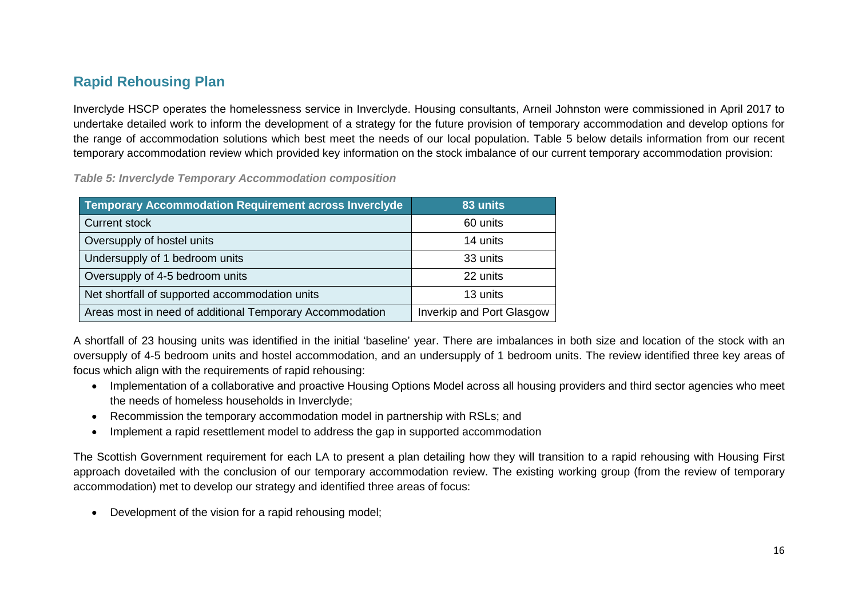## **Rapid Rehousing Plan**

Inverclyde HSCP operates the homelessness service in Inverclyde. Housing consultants, Arneil Johnston were commissioned in April 2017 to undertake detailed work to inform the development of a strategy for the future provision of temporary accommodation and develop options for the range of accommodation solutions which best meet the needs of our local population. Table 5 below details information from our recent temporary accommodation review which provided key information on the stock imbalance of our current temporary accommodation provision:

*Table 5: Inverclyde Temporary Accommodation composition* 

| <b>Temporary Accommodation Requirement across Inverclyde</b> | 83 units                  |
|--------------------------------------------------------------|---------------------------|
| <b>Current stock</b>                                         | 60 units                  |
| Oversupply of hostel units                                   | 14 units                  |
| Undersupply of 1 bedroom units                               | 33 units                  |
| Oversupply of 4-5 bedroom units                              | 22 units                  |
| Net shortfall of supported accommodation units               | 13 units                  |
| Areas most in need of additional Temporary Accommodation     | Inverkip and Port Glasgow |

A shortfall of 23 housing units was identified in the initial 'baseline' year. There are imbalances in both size and location of the stock with an oversupply of 4-5 bedroom units and hostel accommodation, and an undersupply of 1 bedroom units. The review identified three key areas of focus which align with the requirements of rapid rehousing:

- Implementation of a collaborative and proactive Housing Options Model across all housing providers and third sector agencies who meet the needs of homeless households in Inverclyde;
- Recommission the temporary accommodation model in partnership with RSLs; and
- Implement a rapid resettlement model to address the gap in supported accommodation

The Scottish Government requirement for each LA to present a plan detailing how they will transition to a rapid rehousing with Housing First approach dovetailed with the conclusion of our temporary accommodation review. The existing working group (from the review of temporary accommodation) met to develop our strategy and identified three areas of focus:

• Development of the vision for a rapid rehousing model;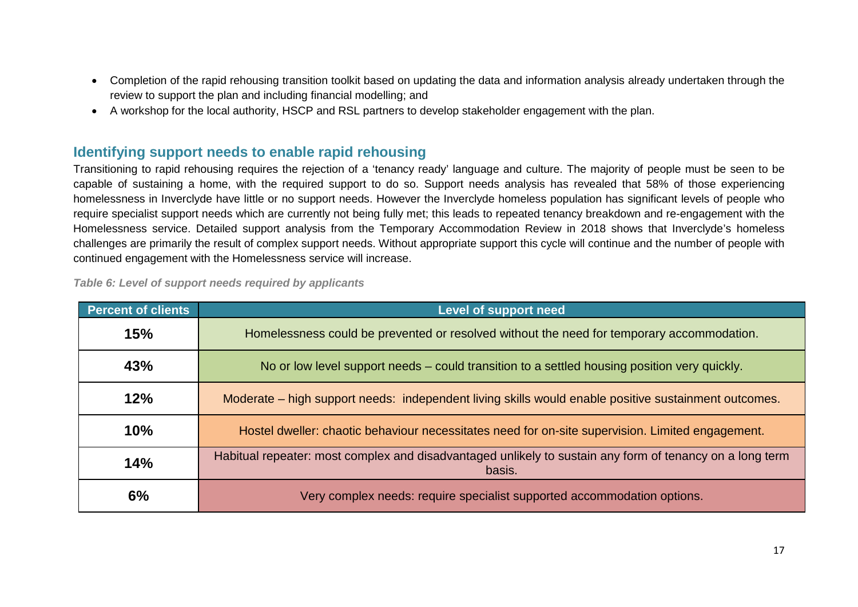- Completion of the rapid rehousing transition toolkit based on updating the data and information analysis already undertaken through the review to support the plan and including financial modelling; and
- A workshop for the local authority, HSCP and RSL partners to develop stakeholder engagement with the plan.

## <span id="page-20-0"></span>**Identifying support needs to enable rapid rehousing**

Transitioning to rapid rehousing requires the rejection of a 'tenancy ready' language and culture. The majority of people must be seen to be capable of sustaining a home, with the required support to do so. Support needs analysis has revealed that 58% of those experiencing homelessness in Inverclyde have little or no support needs. However the Inverclyde homeless population has significant levels of people who require specialist support needs which are currently not being fully met; this leads to repeated tenancy breakdown and re-engagement with the Homelessness service. Detailed support analysis from the Temporary Accommodation Review in 2018 shows that Inverclyde's homeless challenges are primarily the result of complex support needs. Without appropriate support this cycle will continue and the number of people with continued engagement with the Homelessness service will increase.

| <b>Percent of clients</b> | Level of support need                                                                                              |
|---------------------------|--------------------------------------------------------------------------------------------------------------------|
| 15%                       | Homelessness could be prevented or resolved without the need for temporary accommodation.                          |
| 43%                       | No or low level support needs – could transition to a settled housing position very quickly.                       |
| 12%                       | Moderate – high support needs: independent living skills would enable positive sustainment outcomes.               |
| 10%                       | Hostel dweller: chaotic behaviour necessitates need for on-site supervision. Limited engagement.                   |
| 14%                       | Habitual repeater: most complex and disadvantaged unlikely to sustain any form of tenancy on a long term<br>basis. |
| 6%                        | Very complex needs: require specialist supported accommodation options.                                            |

*Table 6: Level of support needs required by applicants*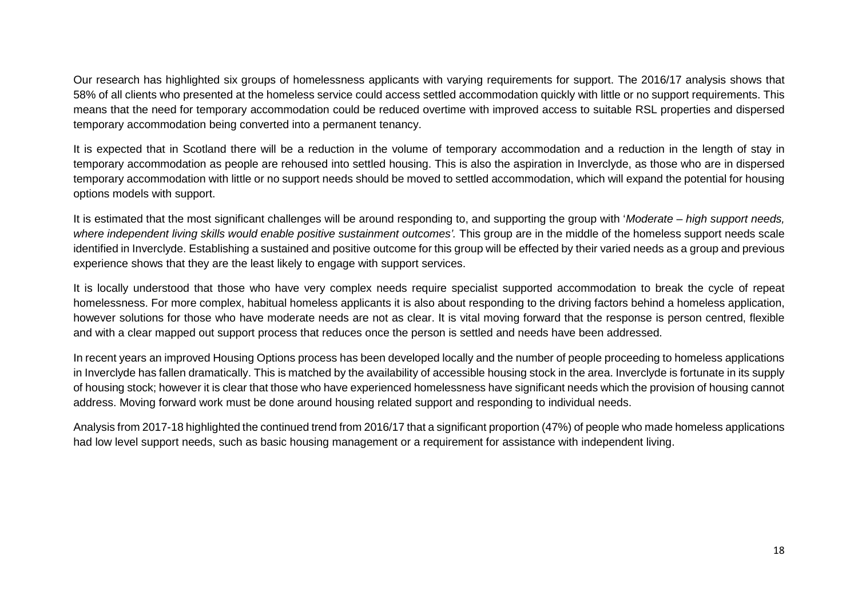Our research has highlighted six groups of homelessness applicants with varying requirements for support. The 2016/17 analysis shows that 58% of all clients who presented at the homeless service could access settled accommodation quickly with little or no support requirements. This means that the need for temporary accommodation could be reduced overtime with improved access to suitable RSL properties and dispersed temporary accommodation being converted into a permanent tenancy.

It is expected that in Scotland there will be a reduction in the volume of temporary accommodation and a reduction in the length of stay in temporary accommodation as people are rehoused into settled housing. This is also the aspiration in Inverclyde, as those who are in dispersed temporary accommodation with little or no support needs should be moved to settled accommodation, which will expand the potential for housing options models with support.

It is estimated that the most significant challenges will be around responding to, and supporting the group with '*Moderate – high support needs,*  where independent living skills would enable positive sustainment outcomes'. This group are in the middle of the homeless support needs scale identified in Inverclyde. Establishing a sustained and positive outcome for this group will be effected by their varied needs as a group and previous experience shows that they are the least likely to engage with support services.

It is locally understood that those who have very complex needs require specialist supported accommodation to break the cycle of repeat homelessness. For more complex, habitual homeless applicants it is also about responding to the driving factors behind a homeless application, however solutions for those who have moderate needs are not as clear. It is vital moving forward that the response is person centred, flexible and with a clear mapped out support process that reduces once the person is settled and needs have been addressed.

In recent years an improved Housing Options process has been developed locally and the number of people proceeding to homeless applications in Inverclyde has fallen dramatically. This is matched by the availability of accessible housing stock in the area. Inverclyde is fortunate in its supply of housing stock; however it is clear that those who have experienced homelessness have significant needs which the provision of housing cannot address. Moving forward work must be done around housing related support and responding to individual needs.

Analysis from 2017-18 highlighted the continued trend from 2016/17 that a significant proportion (47%) of people who made homeless applications had low level support needs, such as basic housing management or a requirement for assistance with independent living.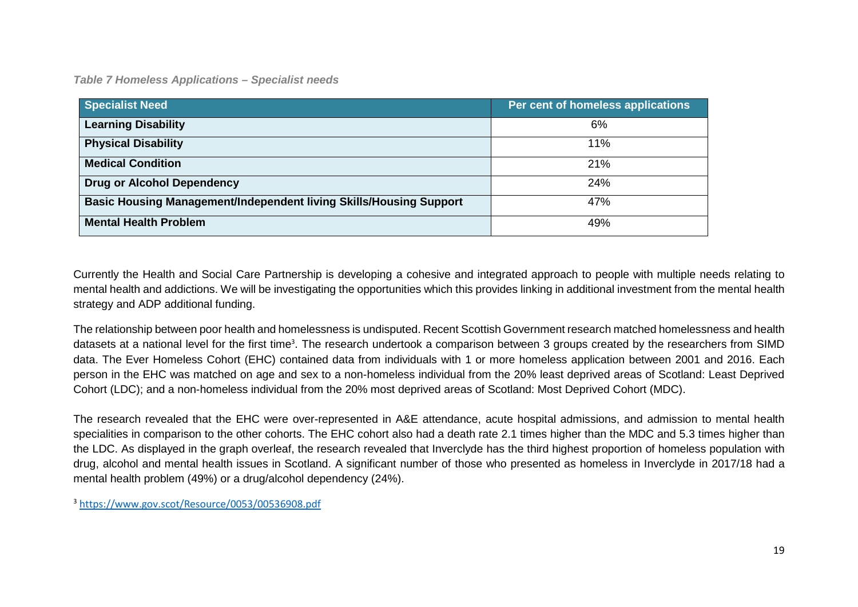*Table 7 Homeless Applications – Specialist needs*

| <b>Specialist Need</b>                                                    | Per cent of homeless applications |
|---------------------------------------------------------------------------|-----------------------------------|
| <b>Learning Disability</b>                                                | 6%                                |
| <b>Physical Disability</b>                                                | 11%                               |
| <b>Medical Condition</b>                                                  | 21%                               |
| <b>Drug or Alcohol Dependency</b>                                         | 24%                               |
| <b>Basic Housing Management/Independent living Skills/Housing Support</b> | 47%                               |
| <b>Mental Health Problem</b>                                              | 49%                               |

Currently the Health and Social Care Partnership is developing a cohesive and integrated approach to people with multiple needs relating to mental health and addictions. We will be investigating the opportunities which this provides linking in additional investment from the mental health strategy and ADP additional funding.

The relationship between poor health and homelessness is undisputed. Recent Scottish Government research matched homelessness and health datasets at a national level for the first time<sup>3</sup>. The research undertook a comparison between 3 groups created by the researchers from SIMD data. The Ever Homeless Cohort (EHC) contained data from individuals with 1 or more homeless application between 2001 and 2016. Each person in the EHC was matched on age and sex to a non-homeless individual from the 20% least deprived areas of Scotland: Least Deprived Cohort (LDC); and a non-homeless individual from the 20% most deprived areas of Scotland: Most Deprived Cohort (MDC).

The research revealed that the EHC were over-represented in A&E attendance, acute hospital admissions, and admission to mental health specialities in comparison to the other cohorts. The EHC cohort also had a death rate 2.1 times higher than the MDC and 5.3 times higher than the LDC. As displayed in the graph overleaf, the research revealed that Inverclyde has the third highest proportion of homeless population with drug, alcohol and mental health issues in Scotland. A significant number of those who presented as homeless in Inverclyde in 2017/18 had a mental health problem (49%) or a drug/alcohol dependency (24%).

<sup>3</sup> <https://www.gov.scot/Resource/0053/00536908.pdf>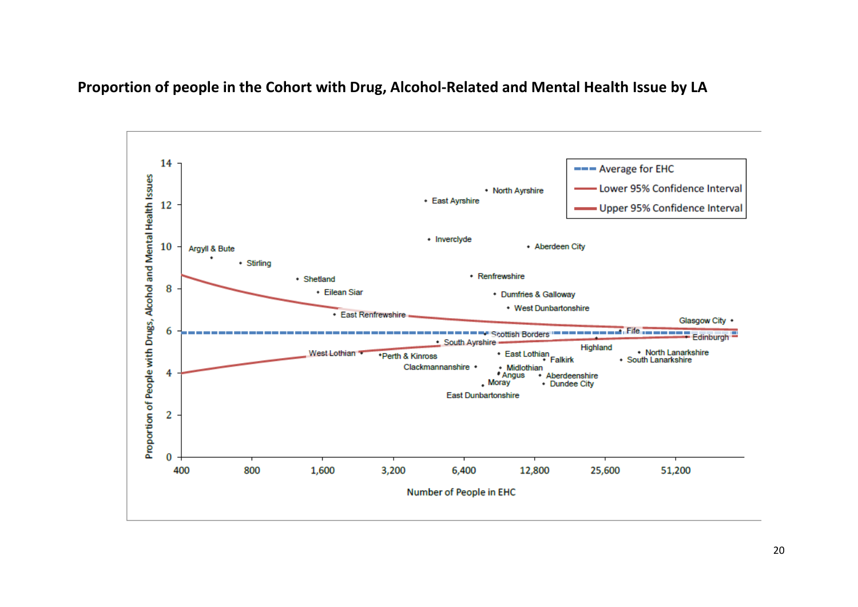## **Proportion of people in the Cohort with Drug, Alcohol-Related and Mental Health Issue by LA**

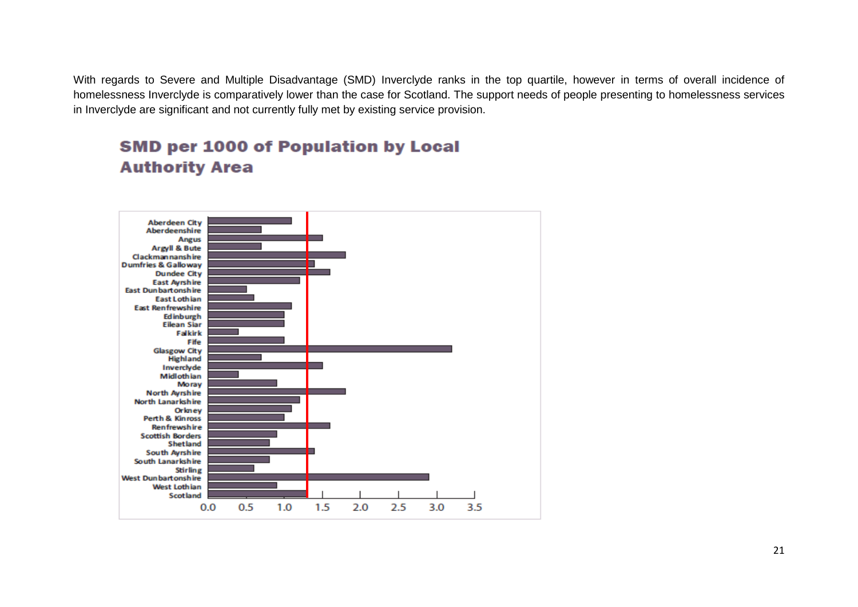With regards to Severe and Multiple Disadvantage (SMD) Inverclyde ranks in the top quartile, however in terms of overall incidence of homelessness Inverclyde is comparatively lower than the case for Scotland. The support needs of people presenting to homelessness services in Inverclyde are significant and not currently fully met by existing service provision.



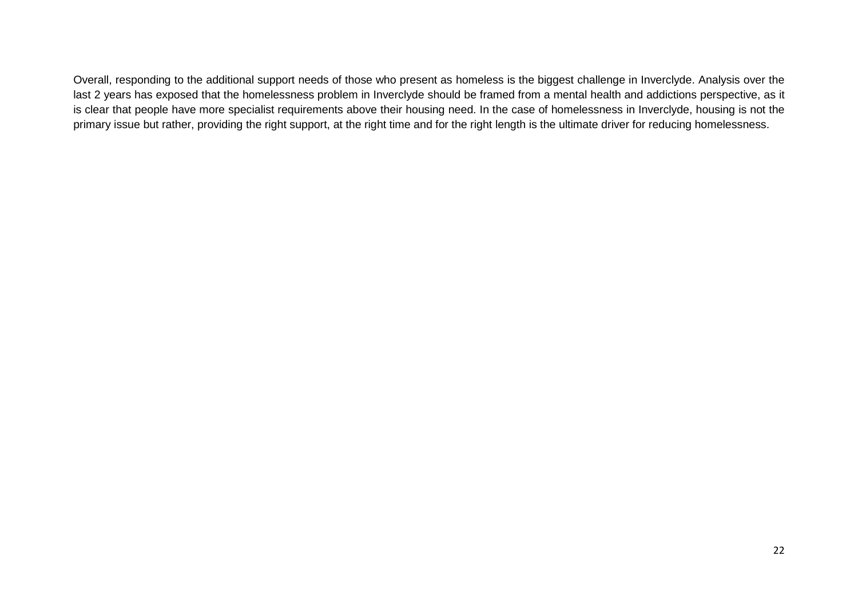<span id="page-25-0"></span>Overall, responding to the additional support needs of those who present as homeless is the biggest challenge in Inverclyde. Analysis over the last 2 years has exposed that the homelessness problem in Inverclyde should be framed from a mental health and addictions perspective, as it is clear that people have more specialist requirements above their housing need. In the case of homelessness in Inverclyde, housing is not the primary issue but rather, providing the right support, at the right time and for the right length is the ultimate driver for reducing homelessness.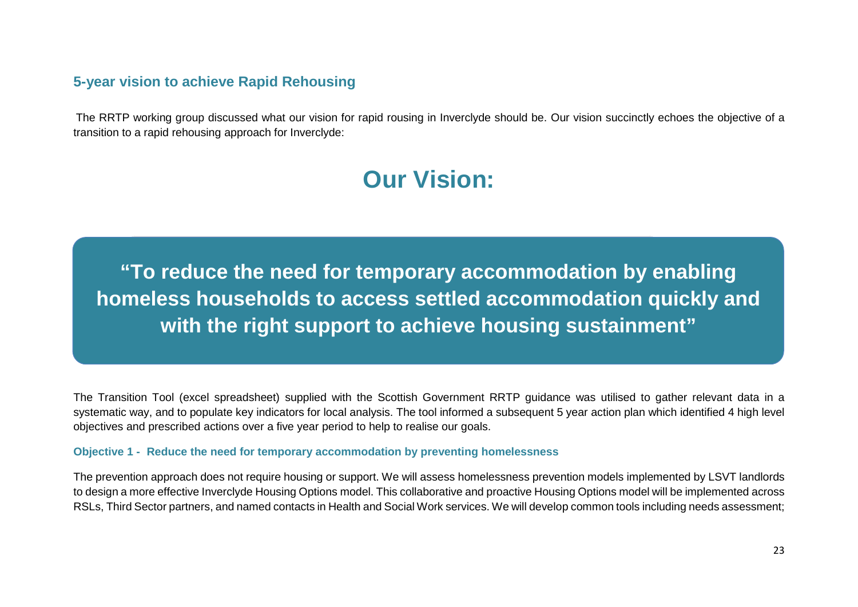## **5-year vision to achieve Rapid Rehousing**

The RRTP working group discussed what our vision for rapid rousing in Inverclyde should be. Our vision succinctly echoes the objective of a transition to a rapid rehousing approach for Inverclyde:

# **Our Vision:**

**"To reduce the need for temporary accommodation by enabling homeless households to access settled accommodation quickly and with the right support to achieve housing sustainment"**

The Transition Tool (excel spreadsheet) supplied with the Scottish Government RRTP guidance was utilised to gather relevant data in a systematic way, and to populate key indicators for local analysis. The tool informed a subsequent 5 year action plan which identified 4 high level objectives and prescribed actions over a five year period to help to realise our goals.

#### **Objective 1 - Reduce the need for temporary accommodation by preventing homelessness**

The prevention approach does not require housing or support. We will assess homelessness prevention models implemented by LSVT landlords to design a more effective Inverclyde Housing Options model. This collaborative and proactive Housing Options model will be implemented across RSLs, Third Sector partners, and named contacts in Health and Social Work services. We will develop common tools including needs assessment;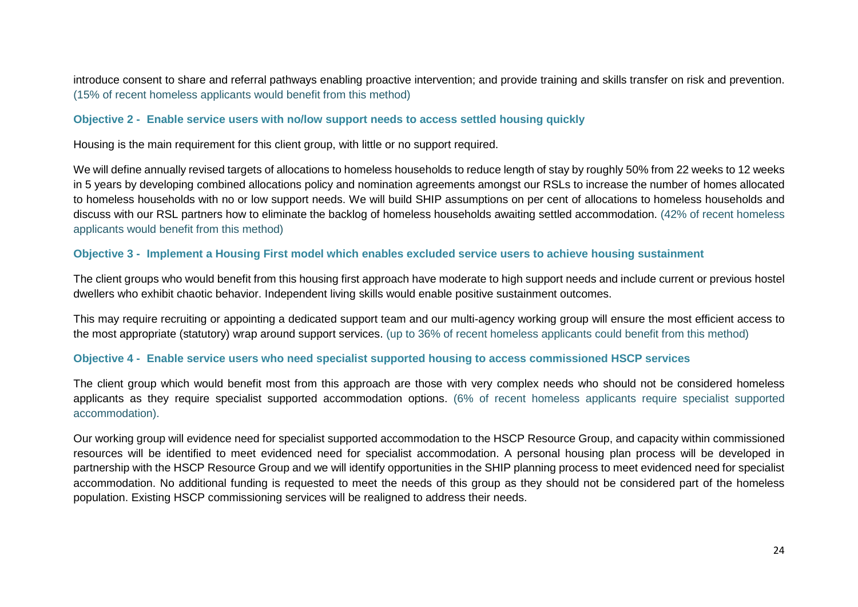introduce consent to share and referral pathways enabling proactive intervention; and provide training and skills transfer on risk and prevention. (15% of recent homeless applicants would benefit from this method)

#### **Objective 2 - Enable service users with no/low support needs to access settled housing quickly**

Housing is the main requirement for this client group, with little or no support required.

We will define annually revised targets of allocations to homeless households to reduce length of stay by roughly 50% from 22 weeks to 12 weeks in 5 years by developing combined allocations policy and nomination agreements amongst our RSLs to increase the number of homes allocated to homeless households with no or low support needs. We will build SHIP assumptions on per cent of allocations to homeless households and discuss with our RSL partners how to eliminate the backlog of homeless households awaiting settled accommodation. (42% of recent homeless applicants would benefit from this method)

#### **Objective 3 - Implement a Housing First model which enables excluded service users to achieve housing sustainment**

The client groups who would benefit from this housing first approach have moderate to high support needs and include current or previous hostel dwellers who exhibit chaotic behavior. Independent living skills would enable positive sustainment outcomes.

This may require recruiting or appointing a dedicated support team and our multi-agency working group will ensure the most efficient access to the most appropriate (statutory) wrap around support services. (up to 36% of recent homeless applicants could benefit from this method)

## **Objective 4 - Enable service users who need specialist supported housing to access commissioned HSCP services**

The client group which would benefit most from this approach are those with very complex needs who should not be considered homeless applicants as they require specialist supported accommodation options. (6% of recent homeless applicants require specialist supported accommodation).

Our working group will evidence need for specialist supported accommodation to the HSCP Resource Group, and capacity within commissioned resources will be identified to meet evidenced need for specialist accommodation. A personal housing plan process will be developed in partnership with the HSCP Resource Group and we will identify opportunities in the SHIP planning process to meet evidenced need for specialist accommodation. No additional funding is requested to meet the needs of this group as they should not be considered part of the homeless population. Existing HSCP commissioning services will be realigned to address their needs.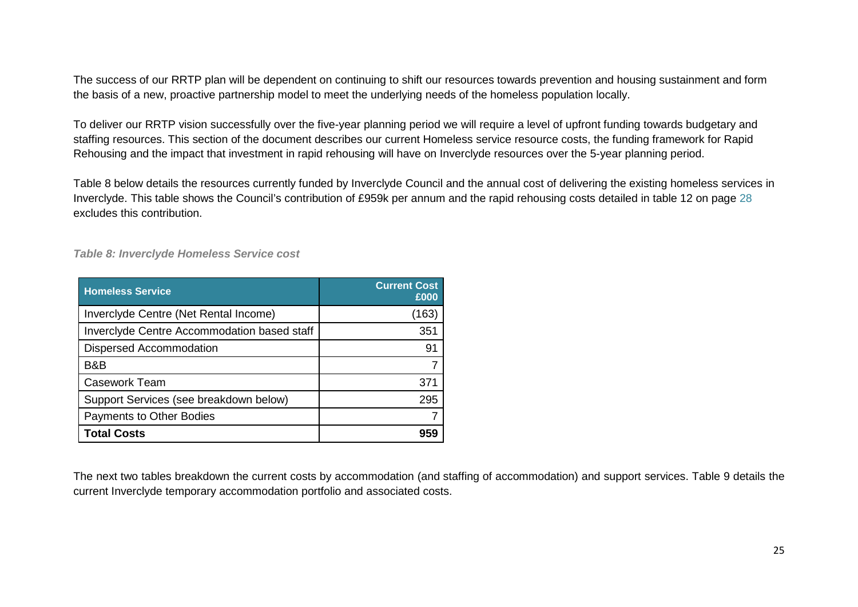The success of our RRTP plan will be dependent on continuing to shift our resources towards prevention and housing sustainment and form the basis of a new, proactive partnership model to meet the underlying needs of the homeless population locally.

To deliver our RRTP vision successfully over the five-year planning period we will require a level of upfront funding towards budgetary and staffing resources. This section of the document describes our current Homeless service resource costs, the funding framework for Rapid Rehousing and the impact that investment in rapid rehousing will have on Inverclyde resources over the 5-year planning period.

Table 8 below details the resources currently funded by Inverclyde Council and the annual cost of delivering the existing homeless services in Inverclyde. This table shows the Council's contribution of £959k per annum and the rapid rehousing costs detailed in table 12 on page 28 excludes this contribution.

*Table 8: Inverclyde Homeless Service cost*

| <b>Homeless Service</b>                     | <b>Current Cost</b><br>£000 |
|---------------------------------------------|-----------------------------|
| Inverclyde Centre (Net Rental Income)       | (163)                       |
| Inverclyde Centre Accommodation based staff | 351                         |
| <b>Dispersed Accommodation</b>              | 91                          |
| B&B                                         |                             |
| <b>Casework Team</b>                        | 371                         |
| Support Services (see breakdown below)      | 295                         |
| <b>Payments to Other Bodies</b>             |                             |
| <b>Total Costs</b>                          |                             |

The next two tables breakdown the current costs by accommodation (and staffing of accommodation) and support services. Table 9 details the current Inverclyde temporary accommodation portfolio and associated costs.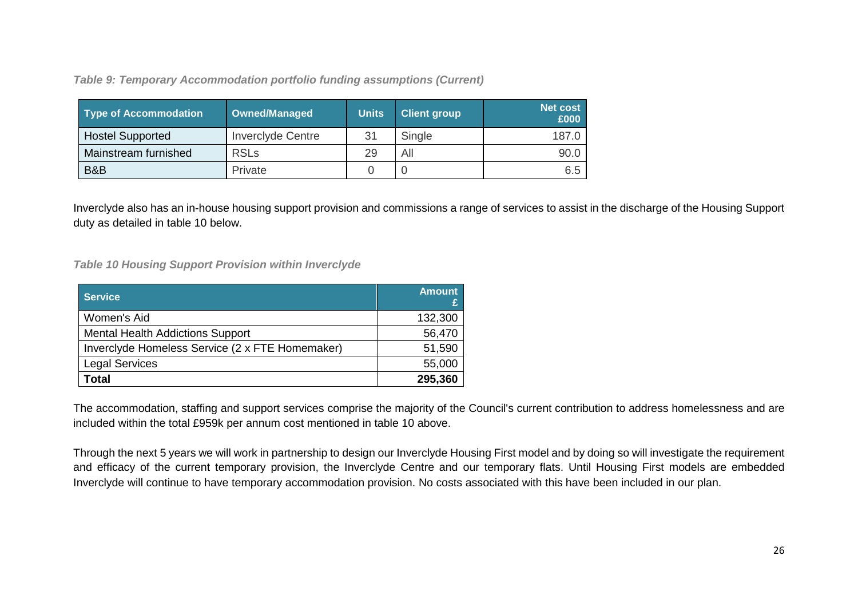*Table 9: Temporary Accommodation portfolio funding assumptions (Current)* 

| <b>Type of Accommodation</b> | Owned/Managed            | <b>Units</b> | <b>Client group</b> | <b>Net cost</b><br>£000 |
|------------------------------|--------------------------|--------------|---------------------|-------------------------|
| <b>Hostel Supported</b>      | <b>Inverclyde Centre</b> | 31           | Single              | 187.0                   |
| Mainstream furnished         | <b>RSLs</b>              | 29           | All                 | 90.0                    |
| B&B                          | Private                  |              | 0                   | 6.5                     |

Inverclyde also has an in-house housing support provision and commissions a range of services to assist in the discharge of the Housing Support duty as detailed in table 10 below.

*Table 10 Housing Support Provision within Inverclyde*

| <b>Service</b>                                  | <b>Amount</b> |
|-------------------------------------------------|---------------|
| Women's Aid                                     | 132,300       |
| <b>Mental Health Addictions Support</b>         | 56,470        |
| Inverciyde Homeless Service (2 x FTE Homemaker) | 51,590        |
| <b>Legal Services</b>                           | 55,000        |
| Total                                           | 295,360       |

The accommodation, staffing and support services comprise the majority of the Council's current contribution to address homelessness and are included within the total £959k per annum cost mentioned in table 10 above.

Through the next 5 years we will work in partnership to design our Inverclyde Housing First model and by doing so will investigate the requirement and efficacy of the current temporary provision, the Inverclyde Centre and our temporary flats. Until Housing First models are embedded Inverclyde will continue to have temporary accommodation provision. No costs associated with this have been included in our plan.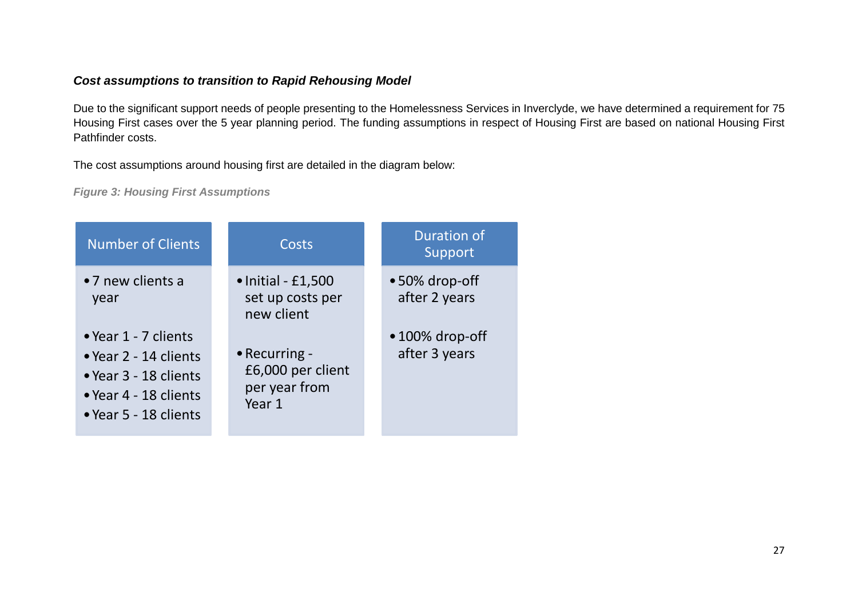## *Cost assumptions to transition to Rapid Rehousing Model*

Due to the significant support needs of people presenting to the Homelessness Services in Inverclyde, we have determined a requirement for 75 Housing First cases over the 5 year planning period. The funding assumptions in respect of Housing First are based on national Housing First Pathfinder costs.

The cost assumptions around housing first are detailed in the diagram below:

*Figure 3: Housing First Assumptions*

| <b>Number of Clients</b>                                                                                                 | Costs                                                         | <b>Duration of</b><br>Support            |
|--------------------------------------------------------------------------------------------------------------------------|---------------------------------------------------------------|------------------------------------------|
| •7 new clients a<br>year                                                                                                 | $\bullet$ Initial - £1,500<br>set up costs per<br>new client  | $\bullet$ 50% drop-off<br>after 2 years  |
| • Year 1 - 7 clients<br>• Year 2 - 14 clients<br>• Year 3 - 18 clients<br>• Year 4 - 18 clients<br>• Year 5 - 18 clients | • Recurring -<br>£6,000 per client<br>per year from<br>Year 1 | $\bullet$ 100% drop-off<br>after 3 years |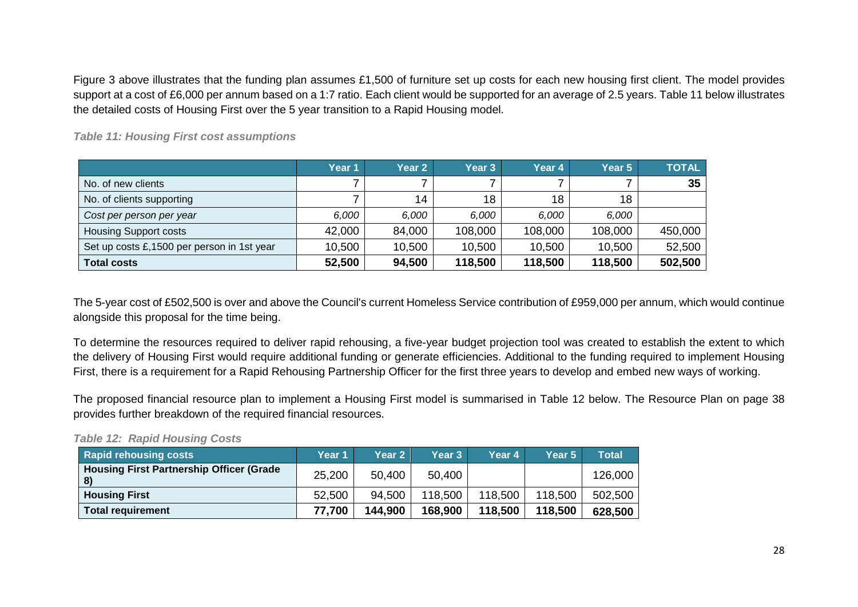Figure 3 above illustrates that the funding plan assumes £1,500 of furniture set up costs for each new housing first client. The model provides support at a cost of £6,000 per annum based on a 1:7 ratio. Each client would be supported for an average of 2.5 years. Table 11 below illustrates the detailed costs of Housing First over the 5 year transition to a Rapid Housing model.

**Year 1 Year 2 Year 3 Year 4 Year 5 TOTAL** No. of new clients 7 | 7 | 7 | 7 | 7 | **35** No. of clients supporting T 14 18 18 18 *Cost per person per year 6,000 6,000 6,000 6,000 6,000* Housing Support costs 42,000 84,000 108,000 108,000 108,000 450,000 Set up costs £,1500 per person in 1st year 10,500 10,500 10,500 10,500 10,500 52,500 **Total costs 52,500 94,500 118,500 118,500 118,500 502,500**

*Table 11: Housing First cost assumptions*

The 5-year cost of £502,500 is over and above the Council's current Homeless Service contribution of £959,000 per annum, which would continue alongside this proposal for the time being.

To determine the resources required to deliver rapid rehousing, a five-year budget projection tool was created to establish the extent to which the delivery of Housing First would require additional funding or generate efficiencies. Additional to the funding required to implement Housing First, there is a requirement for a Rapid Rehousing Partnership Officer for the first three years to develop and embed new ways of working.

The proposed financial resource plan to implement a Housing First model is summarised in Table 12 below. The Resource Plan on page 38 provides further breakdown of the required financial resources.

*Table 12: Rapid Housing Costs*

| <b>Rapid rehousing costs</b>                                     | Year 1 | Year 2  | Year 3  | Year 4  | Year 5  | <b>Total</b> |
|------------------------------------------------------------------|--------|---------|---------|---------|---------|--------------|
| <b>Housing First Partnership Officer (Grade)</b><br>$\mathbf{8}$ | 25,200 | 50,400  | 50,400  |         |         | 126,000      |
| <b>Housing First</b>                                             | 52,500 | 94,500  | 118,500 | 118,500 | 118,500 | 502,500      |
| <b>Total requirement</b>                                         | 77,700 | 144.900 | 168,900 | 118,500 | 118.500 | 628,500      |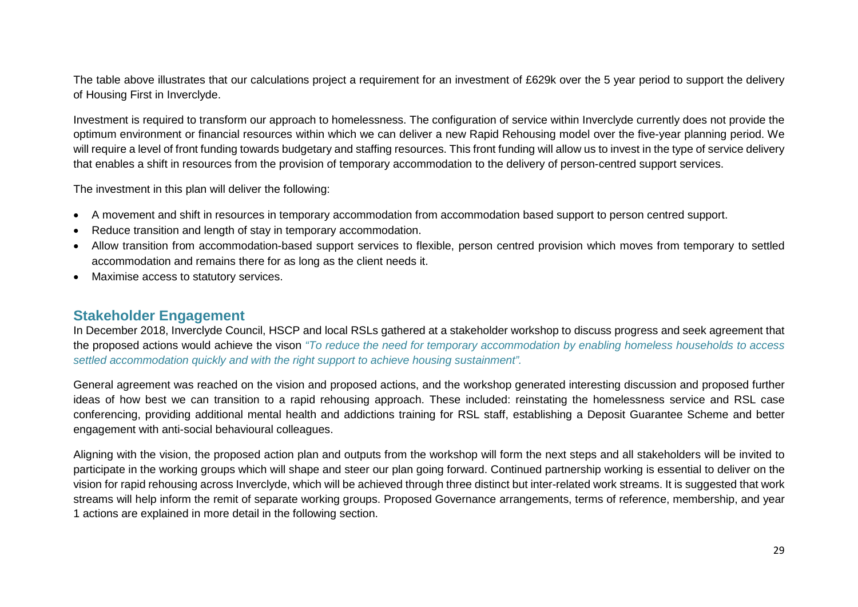The table above illustrates that our calculations project a requirement for an investment of £629k over the 5 year period to support the delivery of Housing First in Inverclyde.

Investment is required to transform our approach to homelessness. The configuration of service within Inverclyde currently does not provide the optimum environment or financial resources within which we can deliver a new Rapid Rehousing model over the five-year planning period. We will require a level of front funding towards budgetary and staffing resources. This front funding will allow us to invest in the type of service delivery that enables a shift in resources from the provision of temporary accommodation to the delivery of person-centred support services.

The investment in this plan will deliver the following:

- A movement and shift in resources in temporary accommodation from accommodation based support to person centred support.
- Reduce transition and length of stay in temporary accommodation.
- Allow transition from accommodation-based support services to flexible, person centred provision which moves from temporary to settled accommodation and remains there for as long as the client needs it.
- Maximise access to statutory services.

## <span id="page-32-0"></span>**Stakeholder Engagement**

In December 2018, Inverclyde Council, HSCP and local RSLs gathered at a stakeholder workshop to discuss progress and seek agreement that the proposed actions would achieve the vison *"To reduce the need for temporary accommodation by enabling homeless households to access settled accommodation quickly and with the right support to achieve housing sustainment".*

General agreement was reached on the vision and proposed actions, and the workshop generated interesting discussion and proposed further ideas of how best we can transition to a rapid rehousing approach. These included: reinstating the homelessness service and RSL case conferencing, providing additional mental health and addictions training for RSL staff, establishing a Deposit Guarantee Scheme and better engagement with anti-social behavioural colleagues.

Aligning with the vision, the proposed action plan and outputs from the workshop will form the next steps and all stakeholders will be invited to participate in the working groups which will shape and steer our plan going forward. Continued partnership working is essential to deliver on the vision for rapid rehousing across Inverclyde, which will be achieved through three distinct but inter-related work streams. It is suggested that work streams will help inform the remit of separate working groups. Proposed Governance arrangements, terms of reference, membership, and year 1 actions are explained in more detail in the following section.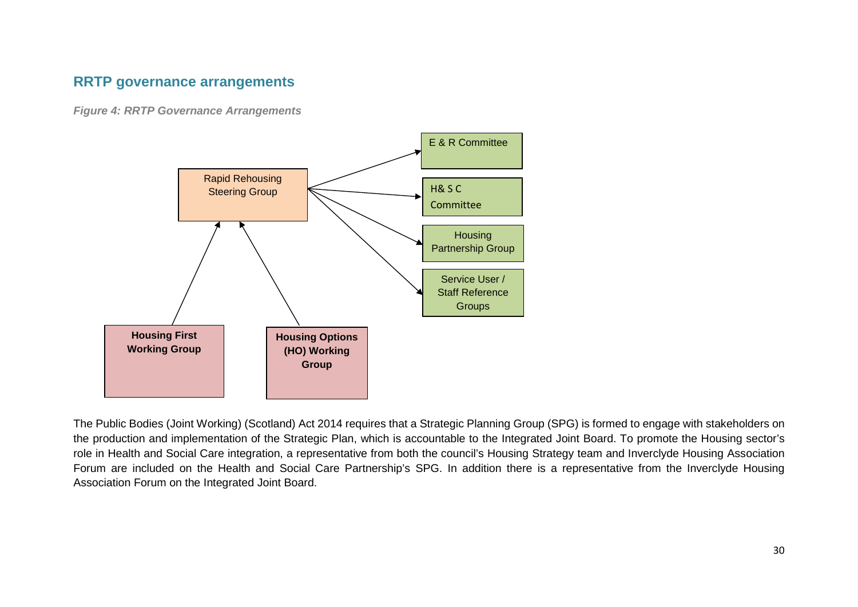## <span id="page-33-0"></span>**RRTP governance arrangements**

*Figure 4: RRTP Governance Arrangements*



The Public Bodies (Joint Working) (Scotland) Act 2014 requires that a Strategic Planning Group (SPG) is formed to engage with stakeholders on the production and implementation of the Strategic Plan, which is accountable to the Integrated Joint Board. To promote the Housing sector's role in Health and Social Care integration, a representative from both the council's Housing Strategy team and Inverclyde Housing Association Forum are included on the Health and Social Care Partnership's SPG. In addition there is a representative from the Inverclyde Housing Association Forum on the Integrated Joint Board.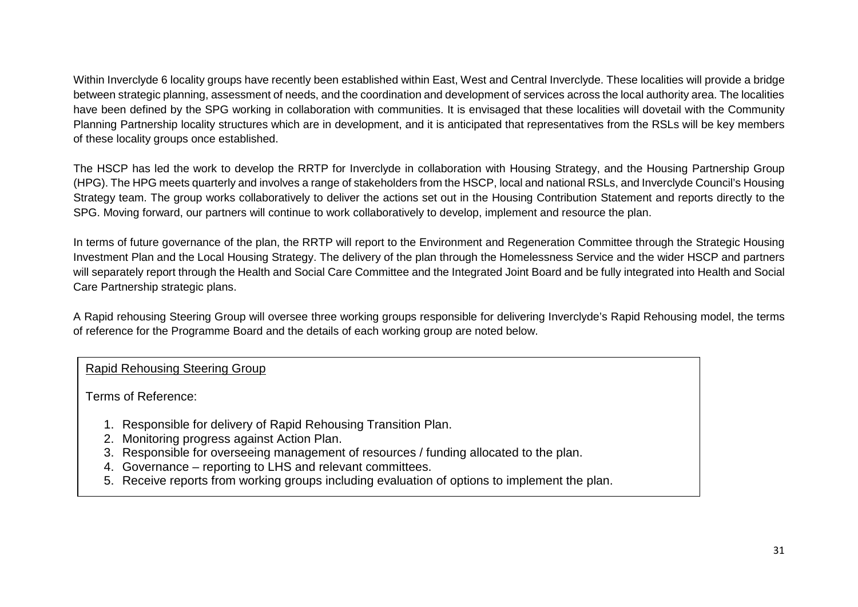Within Inverclyde 6 locality groups have recently been established within East, West and Central Inverclyde. These localities will provide a bridge between strategic planning, assessment of needs, and the coordination and development of services across the local authority area. The localities have been defined by the SPG working in collaboration with communities. It is envisaged that these localities will dovetail with the Community Planning Partnership locality structures which are in development, and it is anticipated that representatives from the RSLs will be key members of these locality groups once established.

The HSCP has led the work to develop the RRTP for Inverclyde in collaboration with Housing Strategy, and the Housing Partnership Group (HPG). The HPG meets quarterly and involves a range of stakeholders from the HSCP, local and national RSLs, and Inverclyde Council's Housing Strategy team. The group works collaboratively to deliver the actions set out in the Housing Contribution Statement and reports directly to the SPG. Moving forward, our partners will continue to work collaboratively to develop, implement and resource the plan.

In terms of future governance of the plan, the RRTP will report to the Environment and Regeneration Committee through the Strategic Housing Investment Plan and the Local Housing Strategy. The delivery of the plan through the Homelessness Service and the wider HSCP and partners will separately report through the Health and Social Care Committee and the Integrated Joint Board and be fully integrated into Health and Social Care Partnership strategic plans.

A Rapid rehousing Steering Group will oversee three working groups responsible for delivering Inverclyde's Rapid Rehousing model, the terms of reference for the Programme Board and the details of each working group are noted below.

## Rapid Rehousing Steering Group

Terms of Reference:

- 1. Responsible for delivery of Rapid Rehousing Transition Plan.
- 2. Monitoring progress against Action Plan.
- 3. Responsible for overseeing management of resources / funding allocated to the plan.
- 4. Governance reporting to LHS and relevant committees.
- 5. Receive reports from working groups including evaluation of options to implement the plan.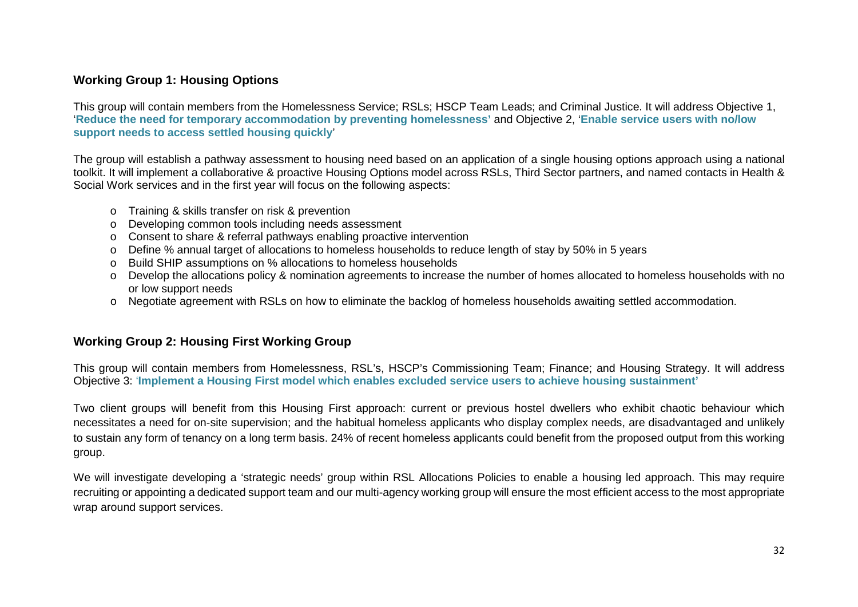## **Working Group 1: Housing Options**

This group will contain members from the Homelessness Service; RSLs; HSCP Team Leads; and Criminal Justice. It will address Objective 1, '**Reduce the need for temporary accommodation by preventing homelessness'** and Objective 2, '**Enable service users with no/low support needs to access settled housing quickly**'

The group will establish a pathway assessment to housing need based on an application of a single housing options approach using a national toolkit. It will implement a collaborative & proactive Housing Options model across RSLs, Third Sector partners, and named contacts in Health & Social Work services and in the first year will focus on the following aspects:

- o Training & skills transfer on risk & prevention
- o Developing common tools including needs assessment
- o Consent to share & referral pathways enabling proactive intervention
- o Define % annual target of allocations to homeless households to reduce length of stay by 50% in 5 years
- o Build SHIP assumptions on % allocations to homeless households
- o Develop the allocations policy & nomination agreements to increase the number of homes allocated to homeless households with no or low support needs
- o Negotiate agreement with RSLs on how to eliminate the backlog of homeless households awaiting settled accommodation.

## **Working Group 2: Housing First Working Group**

This group will contain members from Homelessness, RSL's, HSCP's Commissioning Team; Finance; and Housing Strategy. It will address Objective 3: '**Implement a Housing First model which enables excluded service users to achieve housing sustainment'**

Two client groups will benefit from this Housing First approach: current or previous hostel dwellers who exhibit chaotic behaviour which necessitates a need for on-site supervision; and the habitual homeless applicants who display complex needs, are disadvantaged and unlikely to sustain any form of tenancy on a long term basis. 24% of recent homeless applicants could benefit from the proposed output from this working group.

We will investigate developing a 'strategic needs' group within RSL Allocations Policies to enable a housing led approach. This may require recruiting or appointing a dedicated support team and our multi-agency working group will ensure the most efficient access to the most appropriate wrap around support services.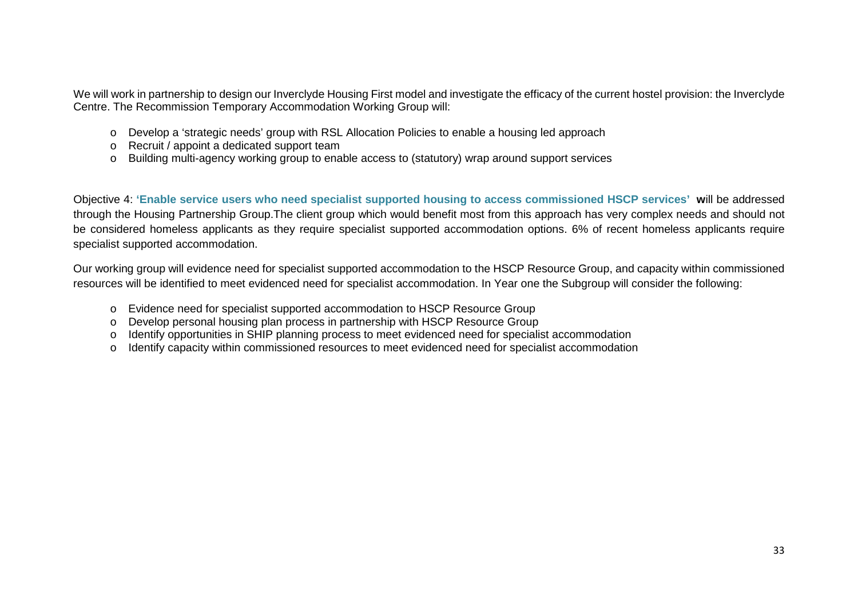We will work in partnership to design our Inverclyde Housing First model and investigate the efficacy of the current hostel provision: the Inverclyde Centre. The Recommission Temporary Accommodation Working Group will:

- o Develop a 'strategic needs' group with RSL Allocation Policies to enable a housing led approach
- o Recruit / appoint a dedicated support team
- o Building multi-agency working group to enable access to (statutory) wrap around support services

Objective 4: **'Enable service users who need specialist supported housing to access commissioned HSCP services' w**ill be addressed through the Housing Partnership Group.The client group which would benefit most from this approach has very complex needs and should not be considered homeless applicants as they require specialist supported accommodation options. 6% of recent homeless applicants require specialist supported accommodation.

Our working group will evidence need for specialist supported accommodation to the HSCP Resource Group, and capacity within commissioned resources will be identified to meet evidenced need for specialist accommodation. In Year one the Subgroup will consider the following:

- o Evidence need for specialist supported accommodation to HSCP Resource Group
- o Develop personal housing plan process in partnership with HSCP Resource Group
- o Identify opportunities in SHIP planning process to meet evidenced need for specialist accommodation
- o Identify capacity within commissioned resources to meet evidenced need for specialist accommodation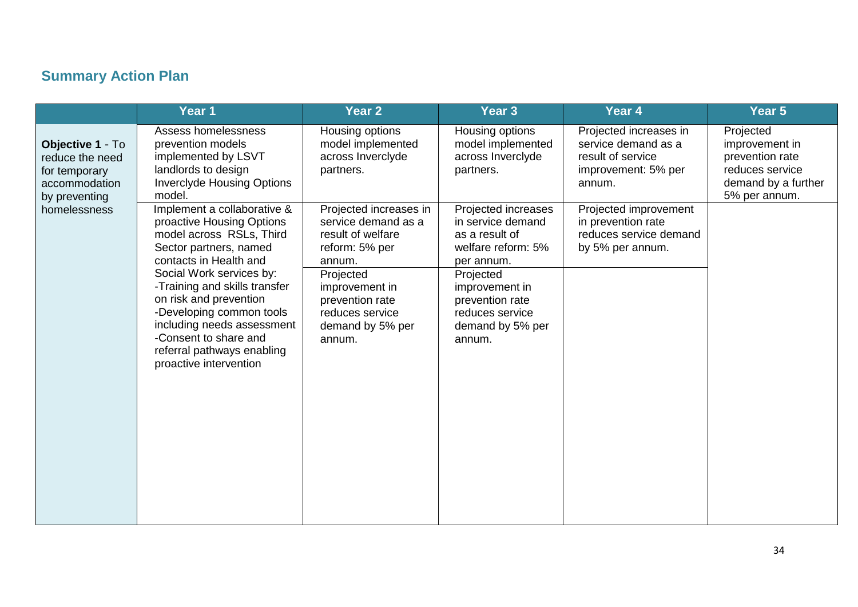## **Summary Action Plan**

|                                                                                        | Year 1                                                                                                                                                                                                                                                                                                                                                                     | Year 2                                                                                                                                                                                            | Year <sub>3</sub>                                                                                                                                                                                 | Year 4                                                                                              | Year 5                                                                                                    |
|----------------------------------------------------------------------------------------|----------------------------------------------------------------------------------------------------------------------------------------------------------------------------------------------------------------------------------------------------------------------------------------------------------------------------------------------------------------------------|---------------------------------------------------------------------------------------------------------------------------------------------------------------------------------------------------|---------------------------------------------------------------------------------------------------------------------------------------------------------------------------------------------------|-----------------------------------------------------------------------------------------------------|-----------------------------------------------------------------------------------------------------------|
| Objective 1 - To<br>reduce the need<br>for temporary<br>accommodation<br>by preventing | Assess homelessness<br>prevention models<br>implemented by LSVT<br>landlords to design<br><b>Inverclyde Housing Options</b><br>model.                                                                                                                                                                                                                                      | Housing options<br>model implemented<br>across Inverclyde<br>partners.                                                                                                                            | Housing options<br>model implemented<br>across Inverclyde<br>partners.                                                                                                                            | Projected increases in<br>service demand as a<br>result of service<br>improvement: 5% per<br>annum. | Projected<br>improvement in<br>prevention rate<br>reduces service<br>demand by a further<br>5% per annum. |
| homelessness                                                                           | Implement a collaborative &<br>proactive Housing Options<br>model across RSLs, Third<br>Sector partners, named<br>contacts in Health and<br>Social Work services by:<br>-Training and skills transfer<br>on risk and prevention<br>-Developing common tools<br>including needs assessment<br>-Consent to share and<br>referral pathways enabling<br>proactive intervention | Projected increases in<br>service demand as a<br>result of welfare<br>reform: 5% per<br>annum.<br>Projected<br>improvement in<br>prevention rate<br>reduces service<br>demand by 5% per<br>annum. | Projected increases<br>in service demand<br>as a result of<br>welfare reform: 5%<br>per annum.<br>Projected<br>improvement in<br>prevention rate<br>reduces service<br>demand by 5% per<br>annum. | Projected improvement<br>in prevention rate<br>reduces service demand<br>by 5% per annum.           |                                                                                                           |
|                                                                                        |                                                                                                                                                                                                                                                                                                                                                                            |                                                                                                                                                                                                   |                                                                                                                                                                                                   |                                                                                                     |                                                                                                           |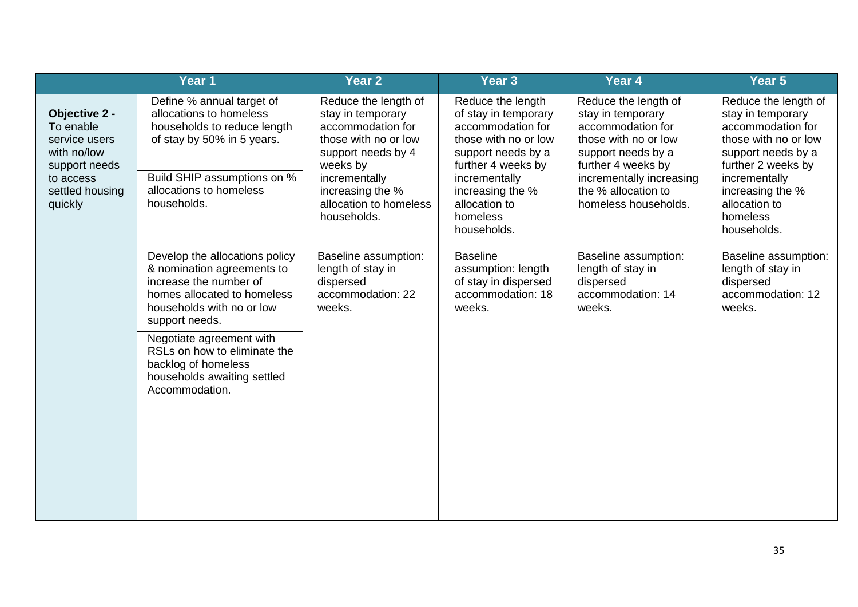|                                                                                                                        | Year 1                                                                                                                                                                                                                                                                                                   | Year <sub>2</sub>                                                                                                                                                                                      | Year <sub>3</sub>                                                                                                                                                                                                   | Year 4                                                                                                                                                                                                        | Year 5                                                                                                                                                                                                              |
|------------------------------------------------------------------------------------------------------------------------|----------------------------------------------------------------------------------------------------------------------------------------------------------------------------------------------------------------------------------------------------------------------------------------------------------|--------------------------------------------------------------------------------------------------------------------------------------------------------------------------------------------------------|---------------------------------------------------------------------------------------------------------------------------------------------------------------------------------------------------------------------|---------------------------------------------------------------------------------------------------------------------------------------------------------------------------------------------------------------|---------------------------------------------------------------------------------------------------------------------------------------------------------------------------------------------------------------------|
| Objective 2 -<br>To enable<br>service users<br>with no/low<br>support needs<br>to access<br>settled housing<br>quickly | Define % annual target of<br>allocations to homeless<br>households to reduce length<br>of stay by 50% in 5 years.<br>Build SHIP assumptions on %<br>allocations to homeless<br>households.                                                                                                               | Reduce the length of<br>stay in temporary<br>accommodation for<br>those with no or low<br>support needs by 4<br>weeks by<br>incrementally<br>increasing the %<br>allocation to homeless<br>households. | Reduce the length<br>of stay in temporary<br>accommodation for<br>those with no or low<br>support needs by a<br>further 4 weeks by<br>incrementally<br>increasing the %<br>allocation to<br>homeless<br>households. | Reduce the length of<br>stay in temporary<br>accommodation for<br>those with no or low<br>support needs by a<br>further 4 weeks by<br>incrementally increasing<br>the % allocation to<br>homeless households. | Reduce the length of<br>stay in temporary<br>accommodation for<br>those with no or low<br>support needs by a<br>further 2 weeks by<br>incrementally<br>increasing the %<br>allocation to<br>homeless<br>households. |
|                                                                                                                        | Develop the allocations policy<br>& nomination agreements to<br>increase the number of<br>homes allocated to homeless<br>households with no or low<br>support needs.<br>Negotiate agreement with<br>RSLs on how to eliminate the<br>backlog of homeless<br>households awaiting settled<br>Accommodation. | Baseline assumption:<br>length of stay in<br>dispersed<br>accommodation: 22<br>weeks.                                                                                                                  | <b>Baseline</b><br>assumption: length<br>of stay in dispersed<br>accommodation: 18<br>weeks.                                                                                                                        | Baseline assumption:<br>length of stay in<br>dispersed<br>accommodation: 14<br>weeks.                                                                                                                         | Baseline assumption:<br>length of stay in<br>dispersed<br>accommodation: 12<br>weeks.                                                                                                                               |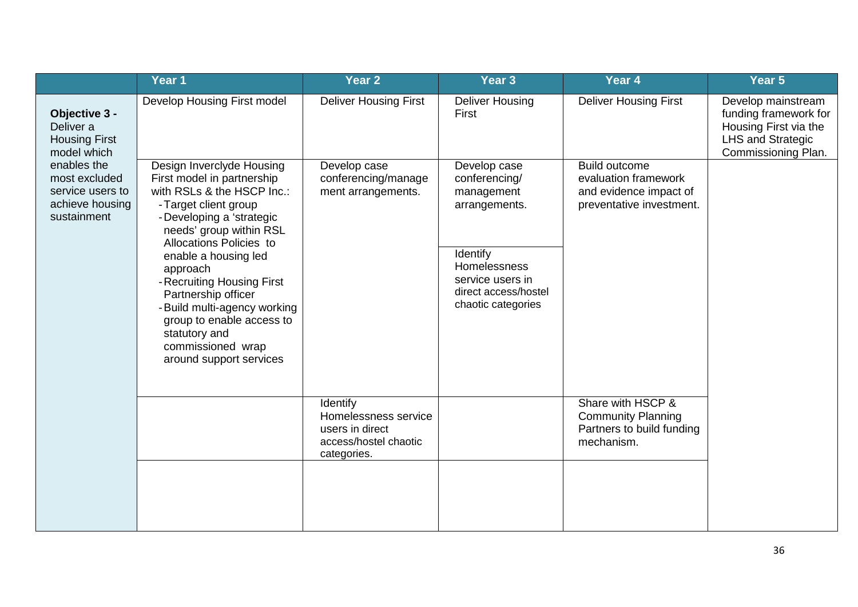|                                                                                    | Year 1                                                                                                                                                                                                                                                                                                                                                                                                                   | Year 2                                                                                      | Year <sub>3</sub>                                                                                                                                          | Year 4                                                                                             | Year 5                                                                                                                  |
|------------------------------------------------------------------------------------|--------------------------------------------------------------------------------------------------------------------------------------------------------------------------------------------------------------------------------------------------------------------------------------------------------------------------------------------------------------------------------------------------------------------------|---------------------------------------------------------------------------------------------|------------------------------------------------------------------------------------------------------------------------------------------------------------|----------------------------------------------------------------------------------------------------|-------------------------------------------------------------------------------------------------------------------------|
| Objective 3 -<br>Deliver a<br><b>Housing First</b><br>model which                  | Develop Housing First model                                                                                                                                                                                                                                                                                                                                                                                              | <b>Deliver Housing First</b>                                                                | <b>Deliver Housing</b><br>First                                                                                                                            | <b>Deliver Housing First</b>                                                                       | Develop mainstream<br>funding framework for<br>Housing First via the<br><b>LHS and Strategic</b><br>Commissioning Plan. |
| enables the<br>most excluded<br>service users to<br>achieve housing<br>sustainment | Design Inverclyde Housing<br>First model in partnership<br>with RSLs & the HSCP Inc.:<br>- Target client group<br>- Developing a 'strategic<br>needs' group within RSL<br>Allocations Policies to<br>enable a housing led<br>approach<br>- Recruiting Housing First<br>Partnership officer<br>- Build multi-agency working<br>group to enable access to<br>statutory and<br>commissioned wrap<br>around support services | Develop case<br>conferencing/manage<br>ment arrangements.                                   | Develop case<br>conferencing/<br>management<br>arrangements.<br>Identify<br>Homelessness<br>service users in<br>direct access/hostel<br>chaotic categories | <b>Build outcome</b><br>evaluation framework<br>and evidence impact of<br>preventative investment. |                                                                                                                         |
|                                                                                    |                                                                                                                                                                                                                                                                                                                                                                                                                          | Identify<br>Homelessness service<br>users in direct<br>access/hostel chaotic<br>categories. |                                                                                                                                                            | Share with HSCP &<br><b>Community Planning</b><br>Partners to build funding<br>mechanism.          |                                                                                                                         |
|                                                                                    |                                                                                                                                                                                                                                                                                                                                                                                                                          |                                                                                             |                                                                                                                                                            |                                                                                                    |                                                                                                                         |

 $\overline{\phantom{a}}$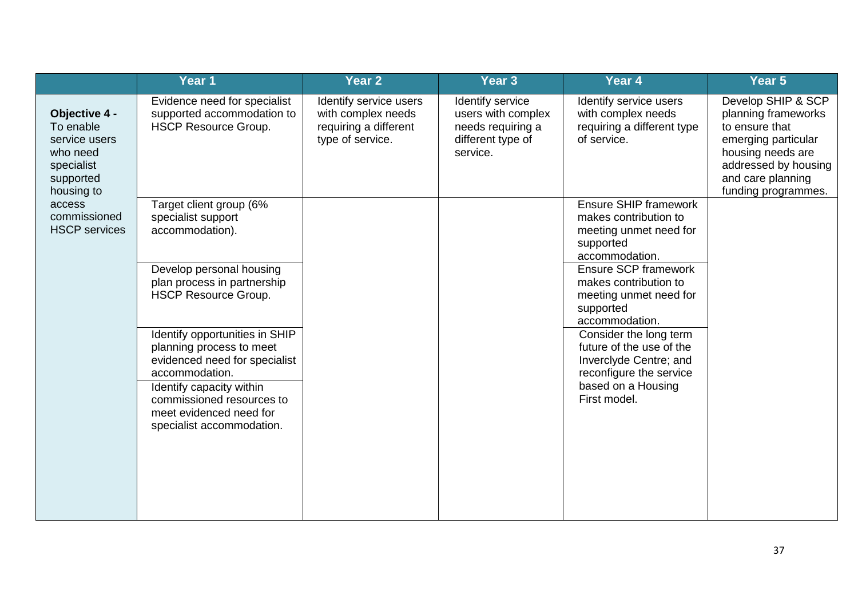|                                                                                                  | Year 1                                                                                                                                                                                                                                                                                                                                                                                       | Year 2                                                                                    | Year <sub>3</sub>                                                                            | Year 4                                                                                                                                                                                                                                                                                                                                                                           | Year 5                                                                                                                                                                      |
|--------------------------------------------------------------------------------------------------|----------------------------------------------------------------------------------------------------------------------------------------------------------------------------------------------------------------------------------------------------------------------------------------------------------------------------------------------------------------------------------------------|-------------------------------------------------------------------------------------------|----------------------------------------------------------------------------------------------|----------------------------------------------------------------------------------------------------------------------------------------------------------------------------------------------------------------------------------------------------------------------------------------------------------------------------------------------------------------------------------|-----------------------------------------------------------------------------------------------------------------------------------------------------------------------------|
| Objective 4 -<br>To enable<br>service users<br>who need<br>specialist<br>supported<br>housing to | Evidence need for specialist<br>supported accommodation to<br><b>HSCP Resource Group.</b>                                                                                                                                                                                                                                                                                                    | Identify service users<br>with complex needs<br>requiring a different<br>type of service. | Identify service<br>users with complex<br>needs requiring a<br>different type of<br>service. | Identify service users<br>with complex needs<br>requiring a different type<br>of service.                                                                                                                                                                                                                                                                                        | Develop SHIP & SCP<br>planning frameworks<br>to ensure that<br>emerging particular<br>housing needs are<br>addressed by housing<br>and care planning<br>funding programmes. |
| access<br>commissioned<br><b>HSCP</b> services                                                   | Target client group (6%<br>specialist support<br>accommodation).<br>Develop personal housing<br>plan process in partnership<br><b>HSCP Resource Group.</b><br>Identify opportunities in SHIP<br>planning process to meet<br>evidenced need for specialist<br>accommodation.<br>Identify capacity within<br>commissioned resources to<br>meet evidenced need for<br>specialist accommodation. |                                                                                           |                                                                                              | <b>Ensure SHIP framework</b><br>makes contribution to<br>meeting unmet need for<br>supported<br>accommodation.<br><b>Ensure SCP framework</b><br>makes contribution to<br>meeting unmet need for<br>supported<br>accommodation.<br>Consider the long term<br>future of the use of the<br>Inverclyde Centre; and<br>reconfigure the service<br>based on a Housing<br>First model. |                                                                                                                                                                             |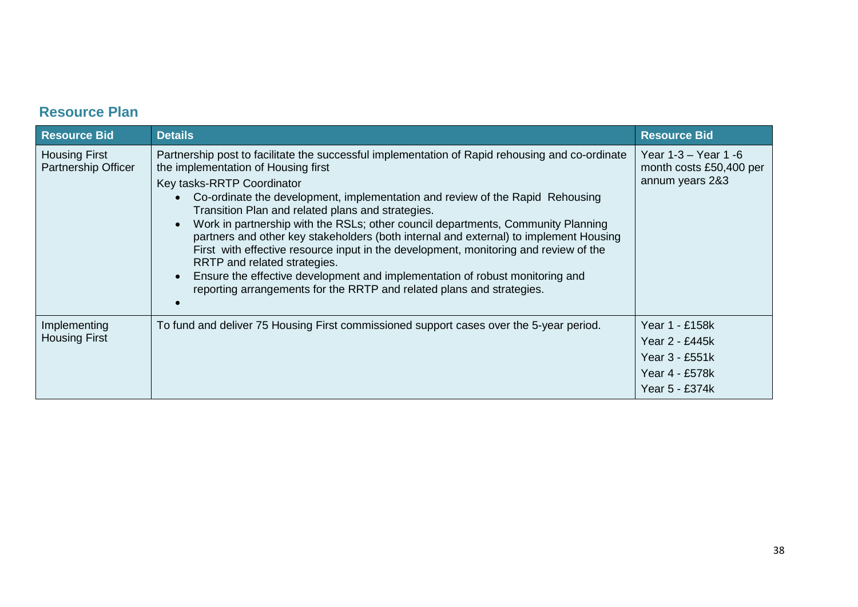## **Resource Plan**

| <b>Resource Bid</b>                                | <b>Details</b>                                                                                                                                                                                                                                                                                                                                                                                                                                                                                                                                                                                                                                                                                                                                                           | <b>Resource Bid</b>                                                                    |
|----------------------------------------------------|--------------------------------------------------------------------------------------------------------------------------------------------------------------------------------------------------------------------------------------------------------------------------------------------------------------------------------------------------------------------------------------------------------------------------------------------------------------------------------------------------------------------------------------------------------------------------------------------------------------------------------------------------------------------------------------------------------------------------------------------------------------------------|----------------------------------------------------------------------------------------|
| <b>Housing First</b><br><b>Partnership Officer</b> | Partnership post to facilitate the successful implementation of Rapid rehousing and co-ordinate<br>the implementation of Housing first<br>Key tasks-RRTP Coordinator<br>Co-ordinate the development, implementation and review of the Rapid Rehousing<br>Transition Plan and related plans and strategies.<br>Work in partnership with the RSLs; other council departments, Community Planning<br>partners and other key stakeholders (both internal and external) to implement Housing<br>First with effective resource input in the development, monitoring and review of the<br>RRTP and related strategies.<br>Ensure the effective development and implementation of robust monitoring and<br>reporting arrangements for the RRTP and related plans and strategies. | Year 1-3 – Year 1 -6<br>month costs £50,400 per<br>annum years 2&3                     |
| Implementing<br><b>Housing First</b>               | To fund and deliver 75 Housing First commissioned support cases over the 5-year period.                                                                                                                                                                                                                                                                                                                                                                                                                                                                                                                                                                                                                                                                                  | Year 1 - £158k<br>Year 2 - £445k<br>Year 3 - £551k<br>Year 4 - £578k<br>Year 5 - £374k |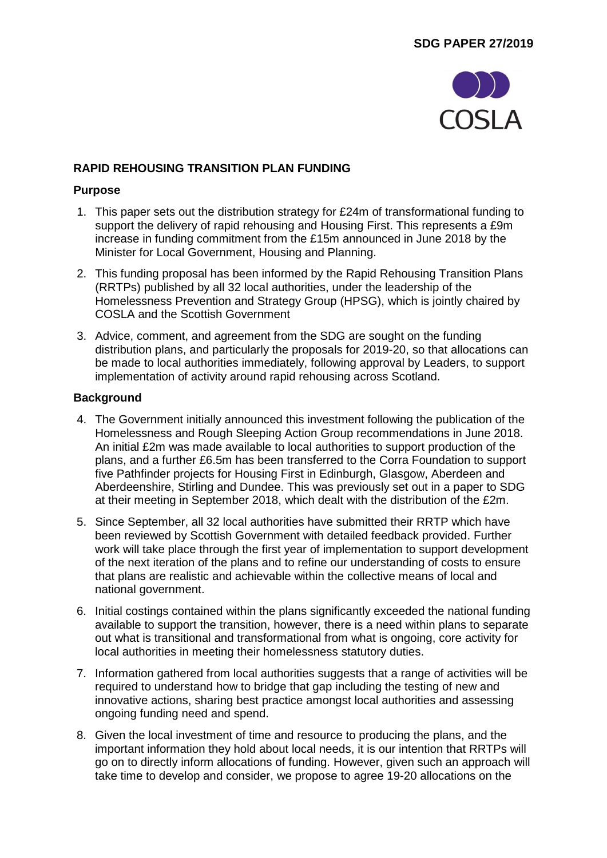

## **RAPID REHOUSING TRANSITION PLAN FUNDING**

## **Purpose**

- 1. This paper sets out the distribution strategy for £24m of transformational funding to support the delivery of rapid rehousing and Housing First. This represents a £9m increase in funding commitment from the £15m announced in June 2018 by the Minister for Local Government, Housing and Planning.
- 2. This funding proposal has been informed by the Rapid Rehousing Transition Plans (RRTPs) published by all 32 local authorities, under the leadership of the Homelessness Prevention and Strategy Group (HPSG), which is jointly chaired by COSLA and the Scottish Government
- 3. Advice, comment, and agreement from the SDG are sought on the funding distribution plans, and particularly the proposals for 2019-20, so that allocations can be made to local authorities immediately, following approval by Leaders, to support implementation of activity around rapid rehousing across Scotland.

## **Background**

- 4. The Government initially announced this investment following the publication of the Homelessness and Rough Sleeping Action Group recommendations in June 2018. An initial £2m was made available to local authorities to support production of the plans, and a further £6.5m has been transferred to the Corra Foundation to support five Pathfinder projects for Housing First in Edinburgh, Glasgow, Aberdeen and Aberdeenshire, Stirling and Dundee. This was previously set out in a paper to SDG at their meeting in September 2018, which dealt with the distribution of the £2m.
- 5. Since September, all 32 local authorities have submitted their RRTP which have been reviewed by Scottish Government with detailed feedback provided. Further work will take place through the first year of implementation to support development of the next iteration of the plans and to refine our understanding of costs to ensure that plans are realistic and achievable within the collective means of local and national government.
- 6. Initial costings contained within the plans significantly exceeded the national funding available to support the transition, however, there is a need within plans to separate out what is transitional and transformational from what is ongoing, core activity for local authorities in meeting their homelessness statutory duties.
- 7. Information gathered from local authorities suggests that a range of activities will be required to understand how to bridge that gap including the testing of new and innovative actions, sharing best practice amongst local authorities and assessing ongoing funding need and spend.
- 8. Given the local investment of time and resource to producing the plans, and the important information they hold about local needs, it is our intention that RRTPs will go on to directly inform allocations of funding. However, given such an approach will take time to develop and consider, we propose to agree 19-20 allocations on the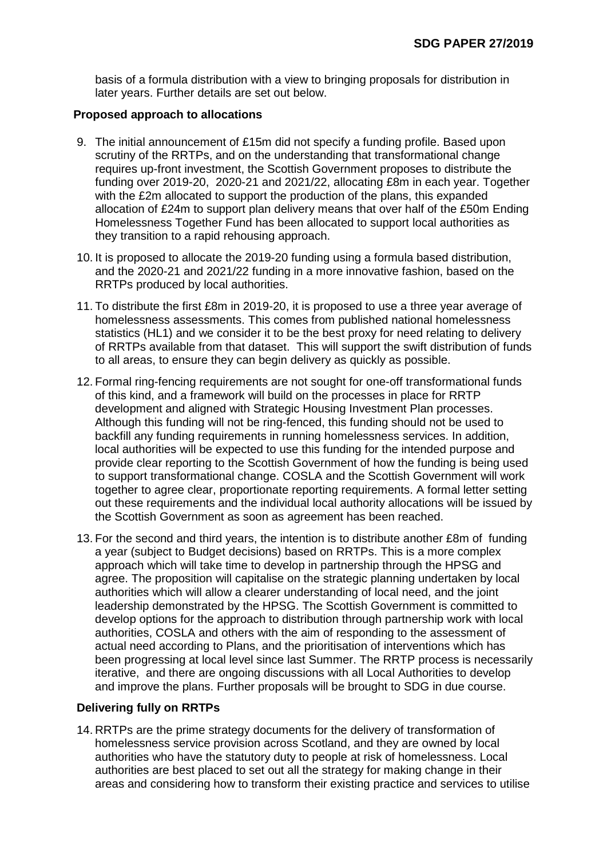basis of a formula distribution with a view to bringing proposals for distribution in later years. Further details are set out below.

## **Proposed approach to allocations**

- 9. The initial announcement of £15m did not specify a funding profile. Based upon scrutiny of the RRTPs, and on the understanding that transformational change requires up-front investment, the Scottish Government proposes to distribute the funding over 2019-20, 2020-21 and 2021/22, allocating £8m in each year. Together with the £2m allocated to support the production of the plans, this expanded allocation of £24m to support plan delivery means that over half of the £50m Ending Homelessness Together Fund has been allocated to support local authorities as they transition to a rapid rehousing approach.
- 10. It is proposed to allocate the 2019-20 funding using a formula based distribution, and the 2020-21 and 2021/22 funding in a more innovative fashion, based on the RRTPs produced by local authorities.
- 11. To distribute the first £8m in 2019-20, it is proposed to use a three year average of homelessness assessments. This comes from published national homelessness statistics (HL1) and we consider it to be the best proxy for need relating to delivery of RRTPs available from that dataset. This will support the swift distribution of funds to all areas, to ensure they can begin delivery as quickly as possible.
- 12. Formal ring-fencing requirements are not sought for one-off transformational funds of this kind, and a framework will build on the processes in place for RRTP development and aligned with Strategic Housing Investment Plan processes. Although this funding will not be ring-fenced, this funding should not be used to backfill any funding requirements in running homelessness services. In addition, local authorities will be expected to use this funding for the intended purpose and provide clear reporting to the Scottish Government of how the funding is being used to support transformational change. COSLA and the Scottish Government will work together to agree clear, proportionate reporting requirements. A formal letter setting out these requirements and the individual local authority allocations will be issued by the Scottish Government as soon as agreement has been reached.
- 13. For the second and third years, the intention is to distribute another £8m of funding a year (subject to Budget decisions) based on RRTPs. This is a more complex approach which will take time to develop in partnership through the HPSG and agree. The proposition will capitalise on the strategic planning undertaken by local authorities which will allow a clearer understanding of local need, and the joint leadership demonstrated by the HPSG. The Scottish Government is committed to develop options for the approach to distribution through partnership work with local authorities, COSLA and others with the aim of responding to the assessment of actual need according to Plans, and the prioritisation of interventions which has been progressing at local level since last Summer. The RRTP process is necessarily iterative, and there are ongoing discussions with all Local Authorities to develop and improve the plans. Further proposals will be brought to SDG in due course.

## **Delivering fully on RRTPs**

14. RRTPs are the prime strategy documents for the delivery of transformation of homelessness service provision across Scotland, and they are owned by local authorities who have the statutory duty to people at risk of homelessness. Local authorities are best placed to set out all the strategy for making change in their areas and considering how to transform their existing practice and services to utilise